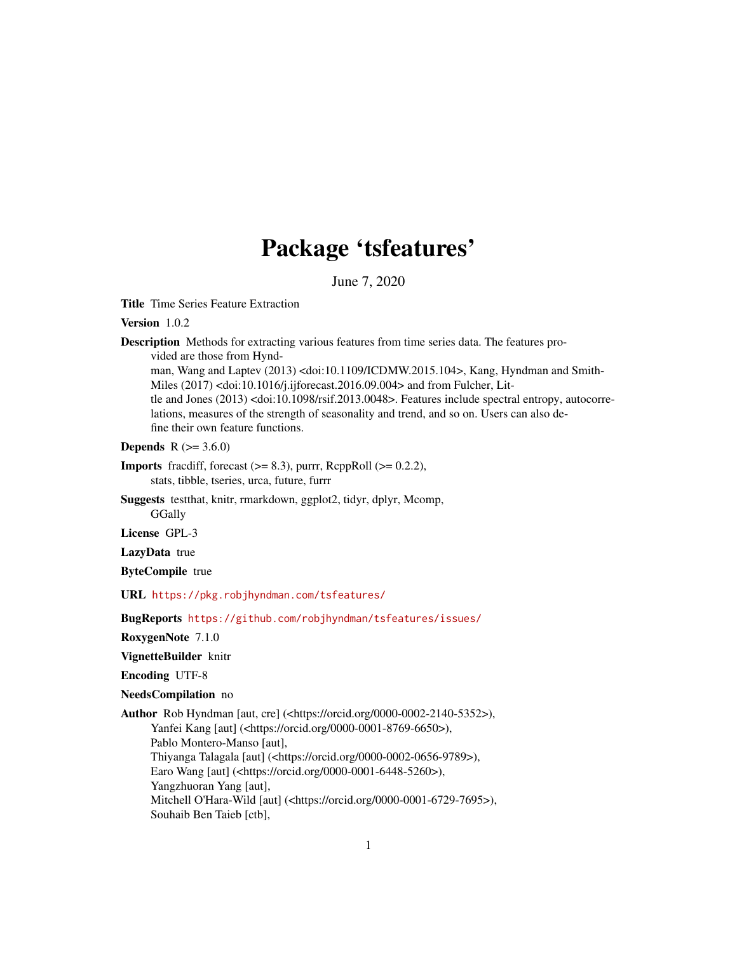# Package 'tsfeatures'

June 7, 2020

<span id="page-0-0"></span>Title Time Series Feature Extraction

Version 1.0.2

Description Methods for extracting various features from time series data. The features provided are those from Hynd-

man, Wang and Laptev (2013) <doi:10.1109/ICDMW.2015.104>, Kang, Hyndman and Smith-Miles (2017) <doi:10.1016/j.ijforecast.2016.09.004> and from Fulcher, Little and Jones (2013) <doi:10.1098/rsif.2013.0048>. Features include spectral entropy, autocorrelations, measures of the strength of seasonality and trend, and so on. Users can also define their own feature functions.

**Depends** R  $(>= 3.6.0)$ 

- **Imports** fracdiff, forecast  $(>= 8.3)$ , purrr, RcppRoll  $(>= 0.2.2)$ , stats, tibble, tseries, urca, future, furrr
- Suggests testthat, knitr, rmarkdown, ggplot2, tidyr, dplyr, Mcomp, **GGally**

License GPL-3

LazyData true

ByteCompile true

URL <https://pkg.robjhyndman.com/tsfeatures/>

BugReports <https://github.com/robjhyndman/tsfeatures/issues/>

RoxygenNote 7.1.0

#### VignetteBuilder knitr

Encoding UTF-8

NeedsCompilation no

Author Rob Hyndman [aut, cre] (<https://orcid.org/0000-0002-2140-5352>), Yanfei Kang [aut] (<https://orcid.org/0000-0001-8769-6650>), Pablo Montero-Manso [aut], Thiyanga Talagala [aut] (<https://orcid.org/0000-0002-0656-9789>), Earo Wang [aut] (<https://orcid.org/0000-0001-6448-5260>), Yangzhuoran Yang [aut], Mitchell O'Hara-Wild [aut] (<https://orcid.org/0000-0001-6729-7695>), Souhaib Ben Taieb [ctb],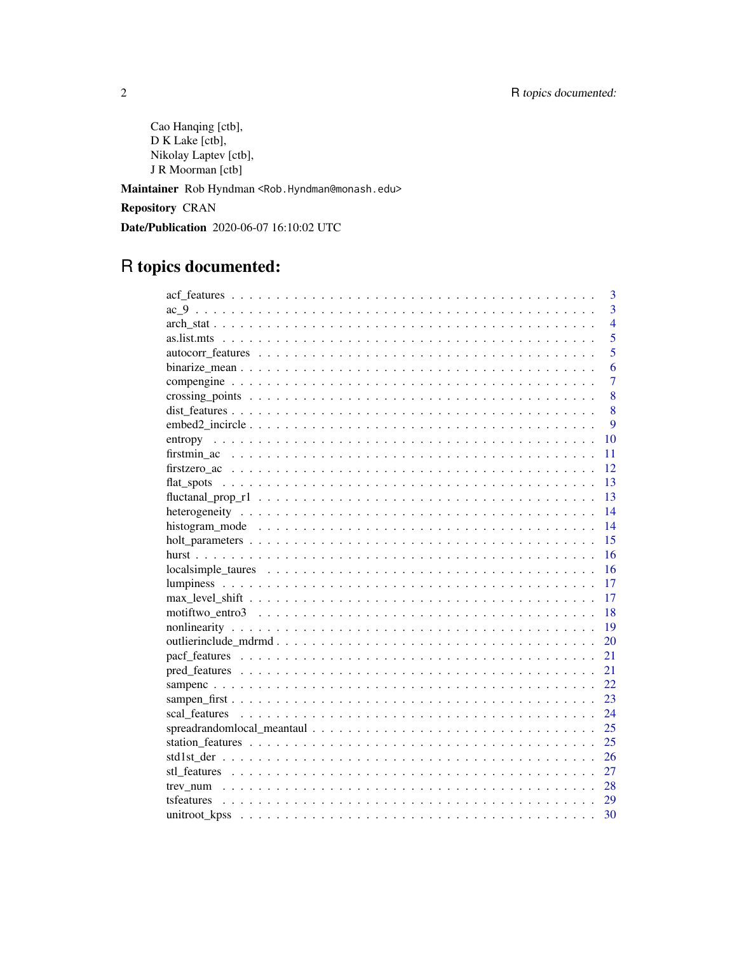Cao Hanqing [ctb], D K Lake [ctb], Nikolay Laptev [ctb], J R Moorman [ctb]

Maintainer Rob Hyndman <Rob.Hyndman@monash.edu>

Repository CRAN

Date/Publication 2020-06-07 16:10:02 UTC

# R topics documented:

| 3              |
|----------------|
| $\overline{3}$ |
| $\overline{4}$ |
| $\overline{5}$ |
| $\overline{5}$ |
| 6              |
| $\overline{7}$ |
| 8              |
| 8              |
| $\overline{Q}$ |
| 10             |
| 11             |
| 12             |
| 13             |
| 13             |
| 14             |
| 14             |
| 15             |
| 16             |
| 16             |
| 17             |
| 17             |
| 18             |
| 19             |
| 20             |
| 21             |
| 21             |
| 22.            |
| 23             |
| 24             |
| 25             |
| 25             |
| 26             |
| 27             |
| 28             |
| 29             |
| 30             |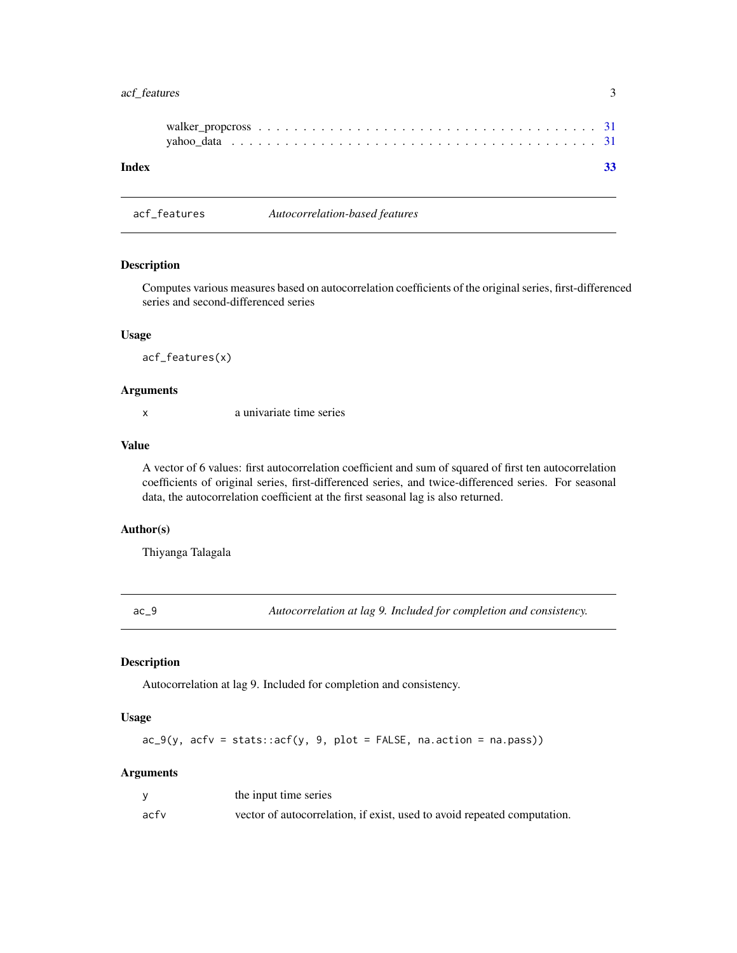# <span id="page-2-0"></span>acf\_features 3

| Index |  |
|-------|--|

acf\_features *Autocorrelation-based features*

# Description

Computes various measures based on autocorrelation coefficients of the original series, first-differenced series and second-differenced series

#### Usage

acf\_features(x)

# Arguments

x a univariate time series

#### Value

A vector of 6 values: first autocorrelation coefficient and sum of squared of first ten autocorrelation coefficients of original series, first-differenced series, and twice-differenced series. For seasonal data, the autocorrelation coefficient at the first seasonal lag is also returned.

# Author(s)

Thiyanga Talagala

<span id="page-2-1"></span>ac\_9 *Autocorrelation at lag 9. Included for completion and consistency.*

# Description

Autocorrelation at lag 9. Included for completion and consistency.

# Usage

 $ac_9(y, actv = stats::acf(y, 9, plot = FALSE, na.action = na.pass))$ 

# Arguments

|      | the input time series                                                    |
|------|--------------------------------------------------------------------------|
| acfv | vector of autocorrelation, if exist, used to avoid repeated computation. |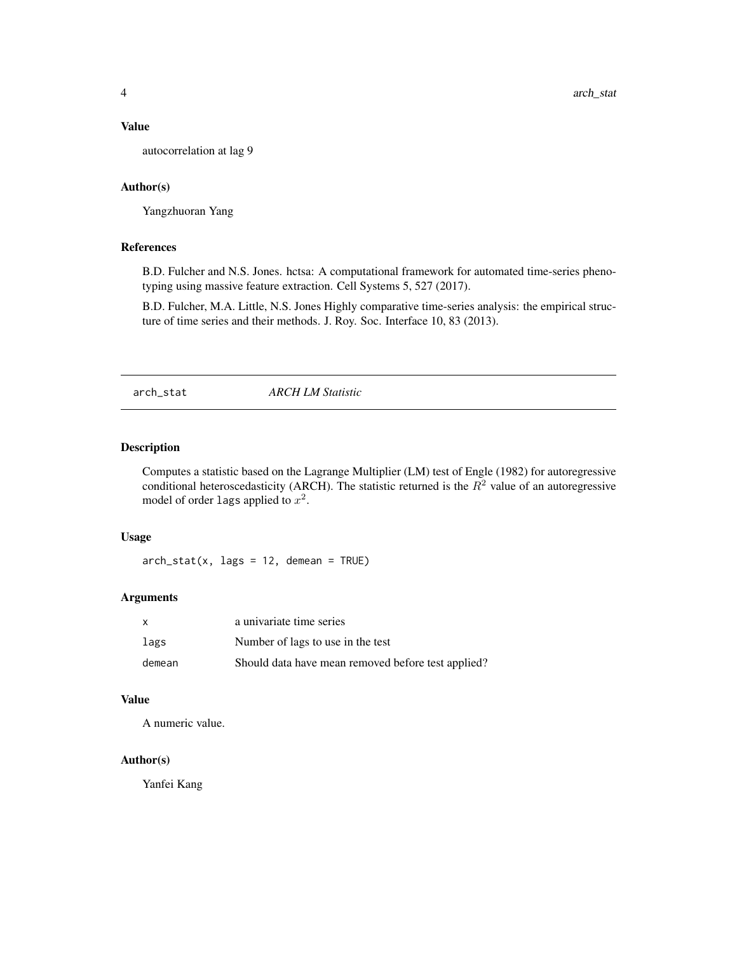# <span id="page-3-0"></span>Value

autocorrelation at lag 9

#### Author(s)

Yangzhuoran Yang

#### References

B.D. Fulcher and N.S. Jones. hctsa: A computational framework for automated time-series phenotyping using massive feature extraction. Cell Systems 5, 527 (2017).

B.D. Fulcher, M.A. Little, N.S. Jones Highly comparative time-series analysis: the empirical structure of time series and their methods. J. Roy. Soc. Interface 10, 83 (2013).

arch\_stat *ARCH LM Statistic*

#### Description

Computes a statistic based on the Lagrange Multiplier (LM) test of Engle (1982) for autoregressive conditional heteroscedasticity (ARCH). The statistic returned is the  $R<sup>2</sup>$  value of an autoregressive model of order lags applied to  $x^2$ .

# Usage

 $arch\_stat(x, lags = 12, demean = TRUE)$ 

# Arguments

| X      | a univariate time series                           |
|--------|----------------------------------------------------|
| lags   | Number of lags to use in the test                  |
| demean | Should data have mean removed before test applied? |

#### Value

A numeric value.

# Author(s)

Yanfei Kang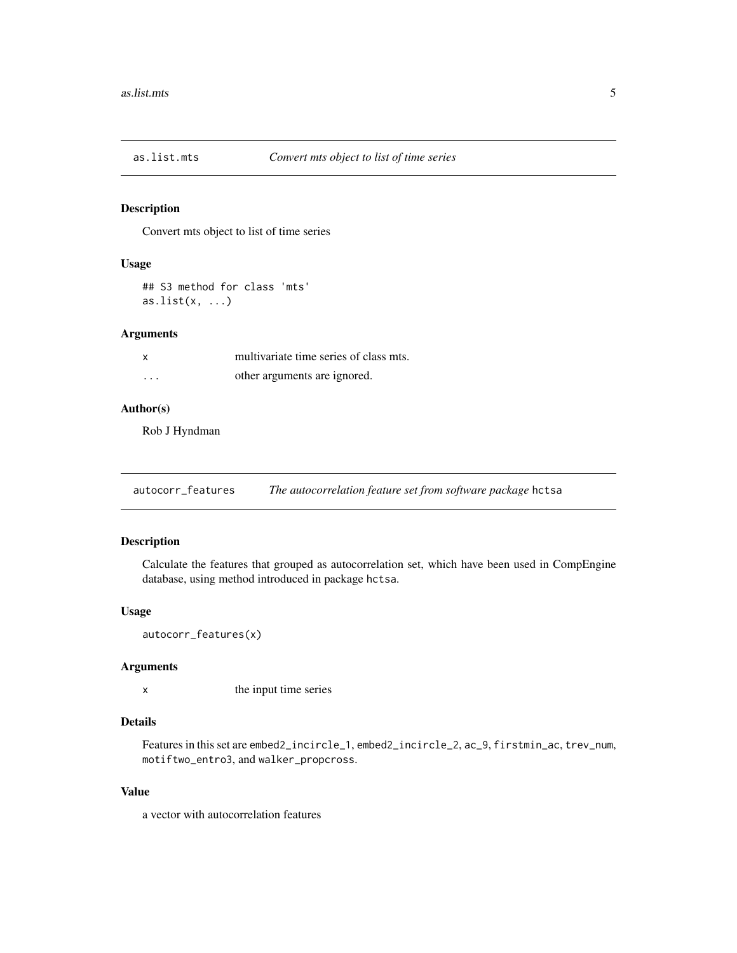<span id="page-4-0"></span>

Convert mts object to list of time series

# Usage

## S3 method for class 'mts' as.list $(x, \ldots)$ 

#### Arguments

| X | multivariate time series of class mts. |
|---|----------------------------------------|
| . | other arguments are ignored.           |

# Author(s)

Rob J Hyndman

<span id="page-4-1"></span>autocorr\_features *The autocorrelation feature set from software package* hctsa

# Description

Calculate the features that grouped as autocorrelation set, which have been used in CompEngine database, using method introduced in package hctsa.

#### Usage

```
autocorr_features(x)
```
# Arguments

x the input time series

# Details

Features in this set are embed2\_incircle\_1, embed2\_incircle\_2, ac\_9, firstmin\_ac, trev\_num, motiftwo\_entro3, and walker\_propcross.

# Value

a vector with autocorrelation features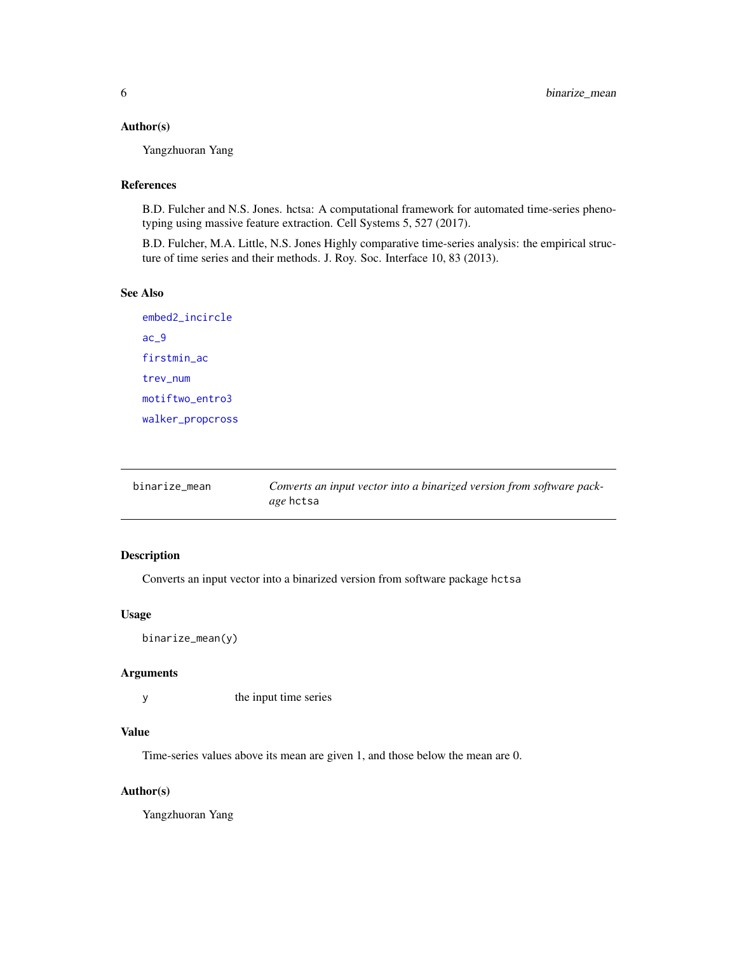# <span id="page-5-0"></span>Author(s)

Yangzhuoran Yang

# References

B.D. Fulcher and N.S. Jones. hctsa: A computational framework for automated time-series phenotyping using massive feature extraction. Cell Systems 5, 527 (2017).

B.D. Fulcher, M.A. Little, N.S. Jones Highly comparative time-series analysis: the empirical structure of time series and their methods. J. Roy. Soc. Interface 10, 83 (2013).

# See Also

[embed2\\_incircle](#page-8-1) [ac\\_9](#page-2-1) [firstmin\\_ac](#page-10-1) [trev\\_num](#page-27-1) [motiftwo\\_entro3](#page-17-1) [walker\\_propcross](#page-30-1)

| binarize mean | Converts an input vector into a binarized version from software pack- |
|---------------|-----------------------------------------------------------------------|
|               | <i>age</i> hctsa                                                      |

# Description

Converts an input vector into a binarized version from software package hctsa

# Usage

binarize\_mean(y)

#### Arguments

y the input time series

# Value

Time-series values above its mean are given 1, and those below the mean are 0.

#### Author(s)

Yangzhuoran Yang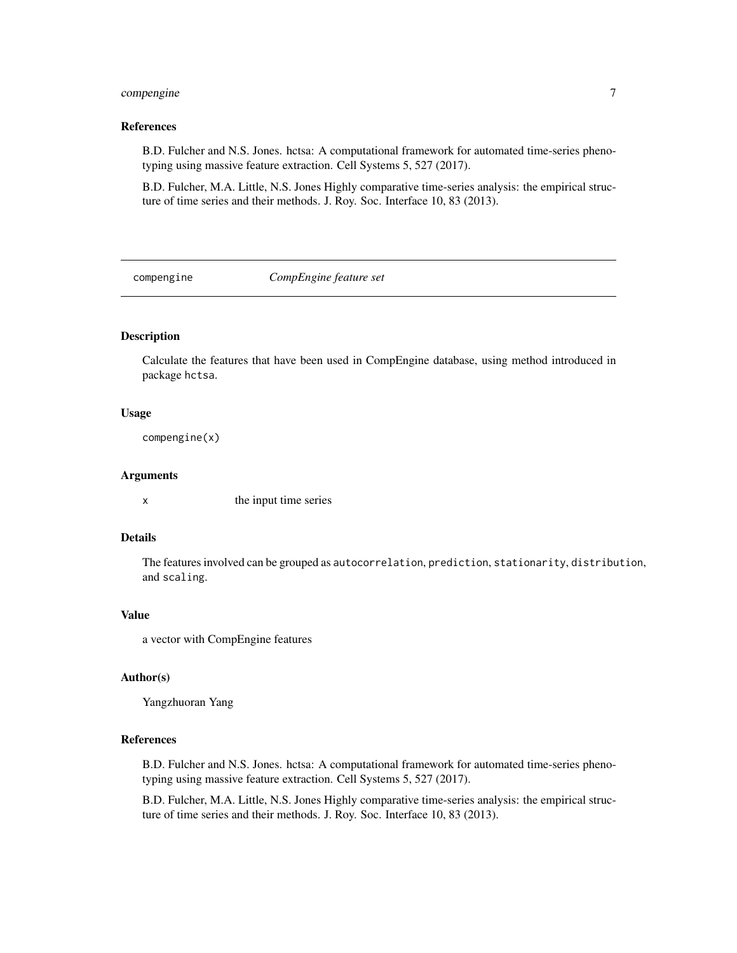# <span id="page-6-0"></span>compengine 7

#### References

B.D. Fulcher and N.S. Jones. hctsa: A computational framework for automated time-series phenotyping using massive feature extraction. Cell Systems 5, 527 (2017).

B.D. Fulcher, M.A. Little, N.S. Jones Highly comparative time-series analysis: the empirical structure of time series and their methods. J. Roy. Soc. Interface 10, 83 (2013).

compengine *CompEngine feature set*

# Description

Calculate the features that have been used in CompEngine database, using method introduced in package hctsa.

#### Usage

compengine(x)

#### Arguments

x the input time series

# Details

The features involved can be grouped as autocorrelation, prediction, stationarity, distribution, and scaling.

#### Value

a vector with CompEngine features

#### Author(s)

Yangzhuoran Yang

#### References

B.D. Fulcher and N.S. Jones. hctsa: A computational framework for automated time-series phenotyping using massive feature extraction. Cell Systems 5, 527 (2017).

B.D. Fulcher, M.A. Little, N.S. Jones Highly comparative time-series analysis: the empirical structure of time series and their methods. J. Roy. Soc. Interface 10, 83 (2013).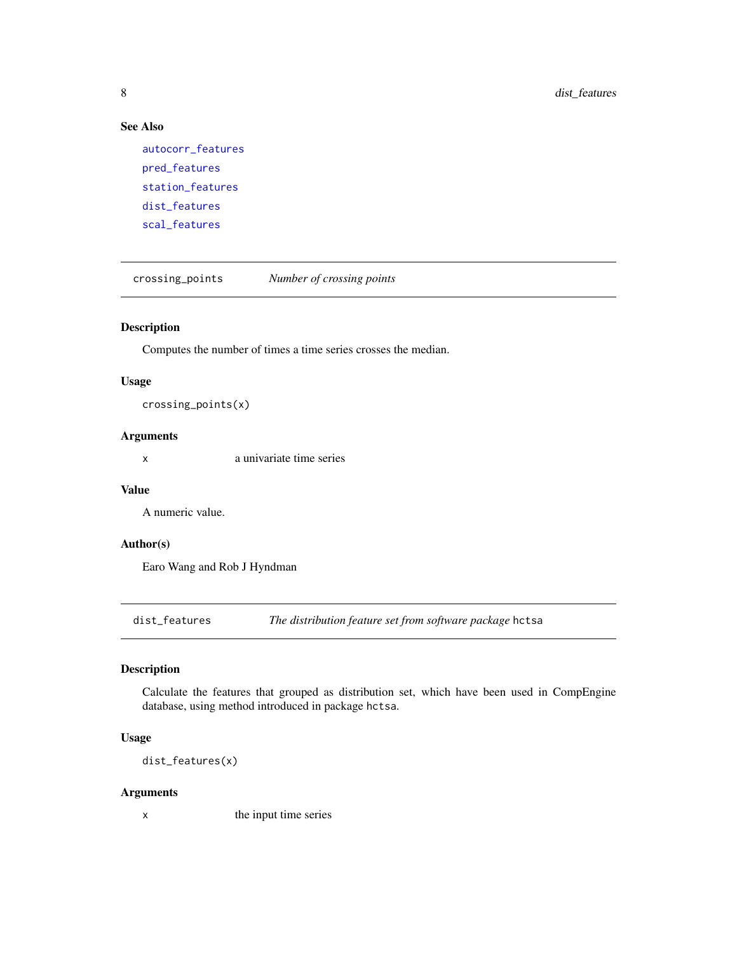# See Also

```
autocorr_features
pred_features
station_features
dist_features
scal_features
```
crossing\_points *Number of crossing points*

# Description

Computes the number of times a time series crosses the median.

#### Usage

crossing\_points(x)

# Arguments

x a univariate time series

# Value

A numeric value.

# Author(s)

Earo Wang and Rob J Hyndman

<span id="page-7-1"></span>dist\_features *The distribution feature set from software package* hctsa

# Description

Calculate the features that grouped as distribution set, which have been used in CompEngine database, using method introduced in package hctsa.

# Usage

dist\_features(x)

#### Arguments

x the input time series

<span id="page-7-0"></span>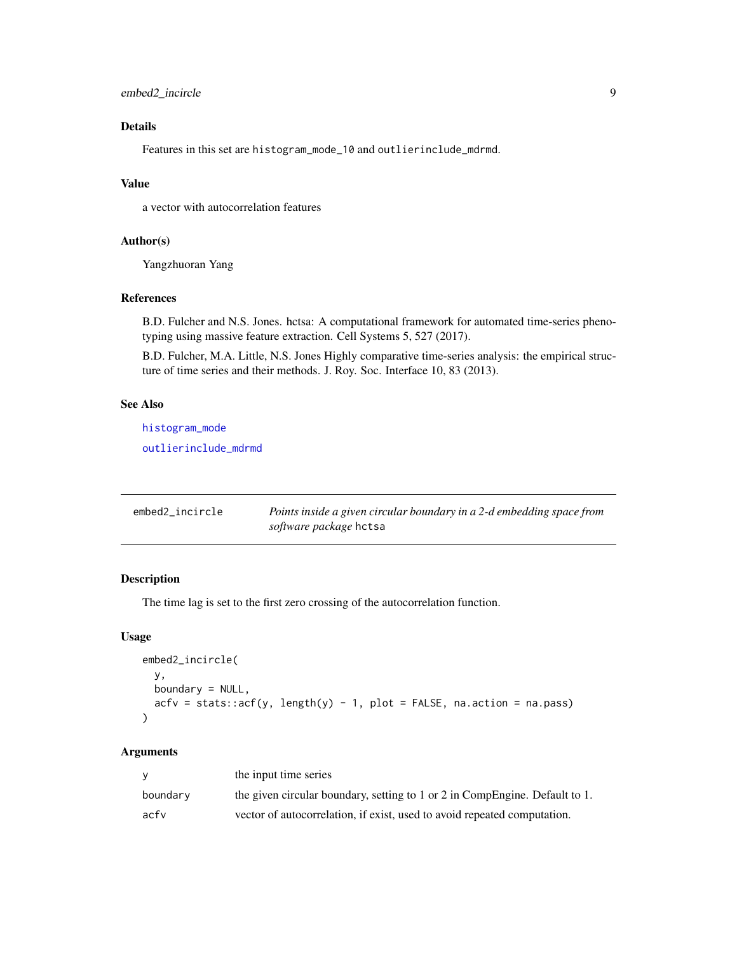# <span id="page-8-0"></span>Details

Features in this set are histogram\_mode\_10 and outlierinclude\_mdrmd.

#### Value

a vector with autocorrelation features

### Author(s)

Yangzhuoran Yang

#### References

B.D. Fulcher and N.S. Jones. hctsa: A computational framework for automated time-series phenotyping using massive feature extraction. Cell Systems 5, 527 (2017).

B.D. Fulcher, M.A. Little, N.S. Jones Highly comparative time-series analysis: the empirical structure of time series and their methods. J. Roy. Soc. Interface 10, 83 (2013).

# See Also

[histogram\\_mode](#page-13-1)

[outlierinclude\\_mdrmd](#page-19-1)

<span id="page-8-1"></span>

| embed2_incircle | Points inside a given circular boundary in a 2-d embedding space from |
|-----------------|-----------------------------------------------------------------------|
|                 | <i>software package</i> hctsa                                         |

# Description

The time lag is set to the first zero crossing of the autocorrelation function.

### Usage

```
embed2_incircle(
 y,
 boundary = NULL,
  acfv = stats::acf(y, length(y) - 1, plot = FALSE, na.action = na.pass)
)
```
#### Arguments

| v        | the input time series                                                       |
|----------|-----------------------------------------------------------------------------|
| boundary | the given circular boundary, setting to 1 or 2 in CompEngine. Default to 1. |
| acfv     | vector of autocorrelation, if exist, used to avoid repeated computation.    |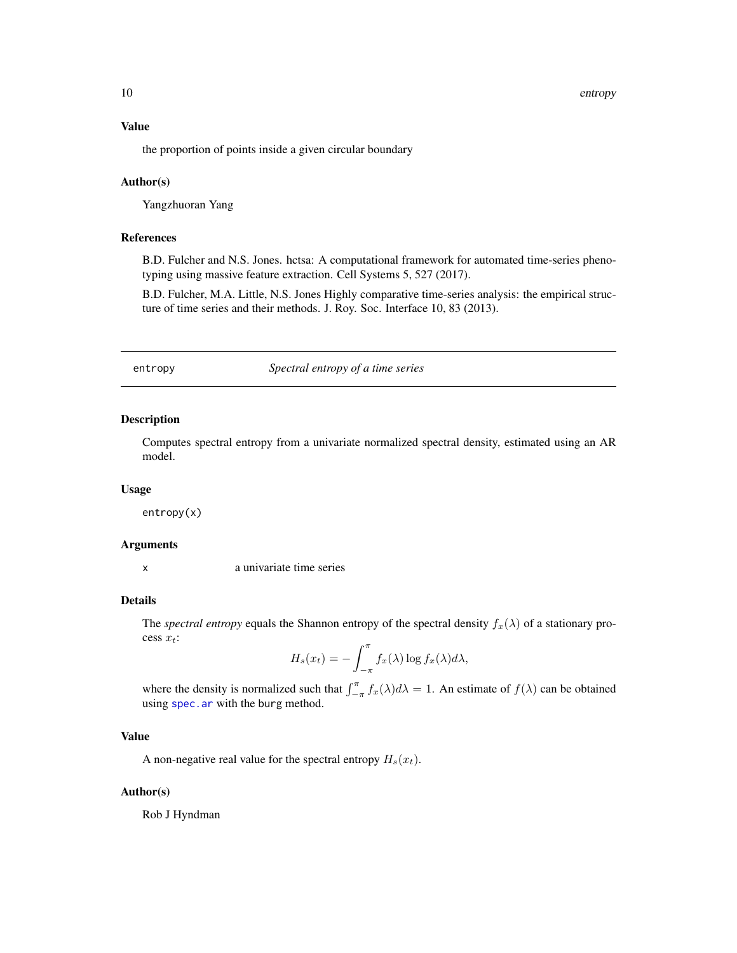<span id="page-9-0"></span>10 entropy entropy and the control of the control of the control of the control of the control of the control of the control of the control of the control of the control of the control of the control of the control of the

# Value

the proportion of points inside a given circular boundary

#### Author(s)

Yangzhuoran Yang

#### References

B.D. Fulcher and N.S. Jones. hctsa: A computational framework for automated time-series phenotyping using massive feature extraction. Cell Systems 5, 527 (2017).

B.D. Fulcher, M.A. Little, N.S. Jones Highly comparative time-series analysis: the empirical structure of time series and their methods. J. Roy. Soc. Interface 10, 83 (2013).

entropy *Spectral entropy of a time series*

#### Description

Computes spectral entropy from a univariate normalized spectral density, estimated using an AR model.

#### Usage

entropy(x)

#### Arguments

x a univariate time series

#### Details

The *spectral entropy* equals the Shannon entropy of the spectral density  $f_x(\lambda)$  of a stationary process  $x_t$ :

$$
H_s(x_t) = -\int_{-\pi}^{\pi} f_x(\lambda) \log f_x(\lambda) d\lambda,
$$

where the density is normalized such that  $\int_{-\pi}^{\pi} f_x(\lambda) d\lambda = 1$ . An estimate of  $f(\lambda)$  can be obtained using [spec.ar](#page-0-0) with the burg method.

# Value

A non-negative real value for the spectral entropy  $H_s(x_t)$ .

#### Author(s)

Rob J Hyndman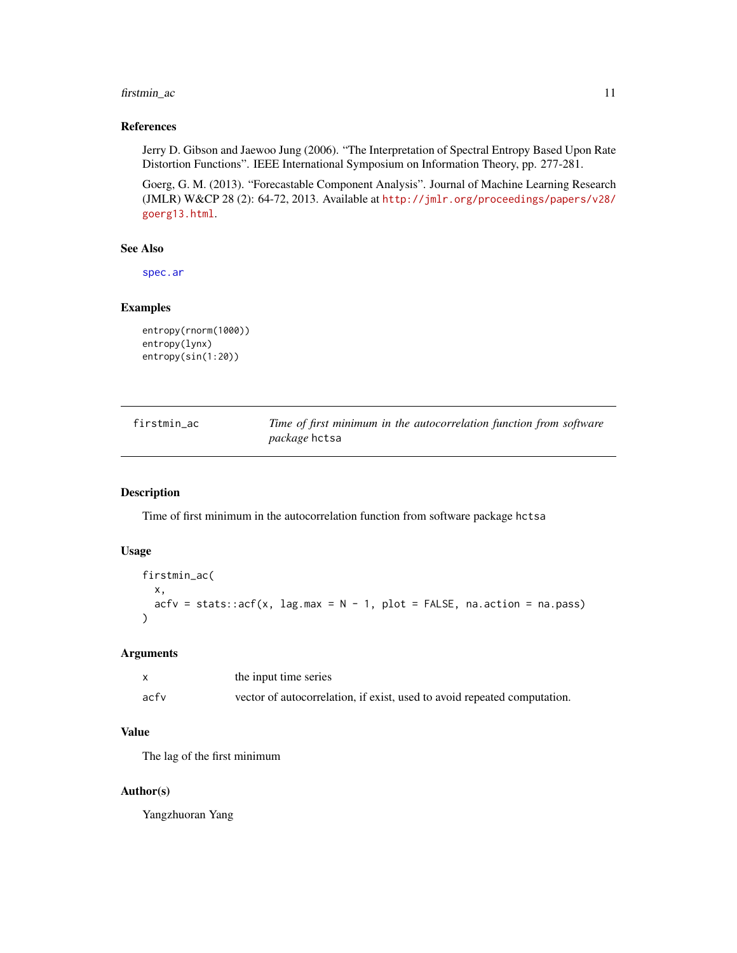# <span id="page-10-0"></span>firstmin\_ac 11

# References

Jerry D. Gibson and Jaewoo Jung (2006). "The Interpretation of Spectral Entropy Based Upon Rate Distortion Functions". IEEE International Symposium on Information Theory, pp. 277-281.

Goerg, G. M. (2013). "Forecastable Component Analysis". Journal of Machine Learning Research (JMLR) W&CP 28 (2): 64-72, 2013. Available at [http://jmlr.org/proceedings/papers/v28/](http://jmlr.org/proceedings/papers/v28/goerg13.html) [goerg13.html](http://jmlr.org/proceedings/papers/v28/goerg13.html).

# See Also

[spec.ar](#page-0-0)

#### Examples

```
entropy(rnorm(1000))
entropy(lynx)
entropy(sin(1:20))
```
<span id="page-10-1"></span>

| firstmin ac | Time of first minimum in the autocorrelation function from software |
|-------------|---------------------------------------------------------------------|
|             | <i>package</i> hctsa                                                |

# Description

Time of first minimum in the autocorrelation function from software package hctsa

# Usage

```
firstmin_ac(
 x,
 acfv = stats::acf(x, lag.max = N - 1, plot = FALSE, na.action = na.pass)
)
```
#### Arguments

|      | the input time series                                                    |
|------|--------------------------------------------------------------------------|
| acfv | vector of autocorrelation, if exist, used to avoid repeated computation. |

#### Value

The lag of the first minimum

#### Author(s)

Yangzhuoran Yang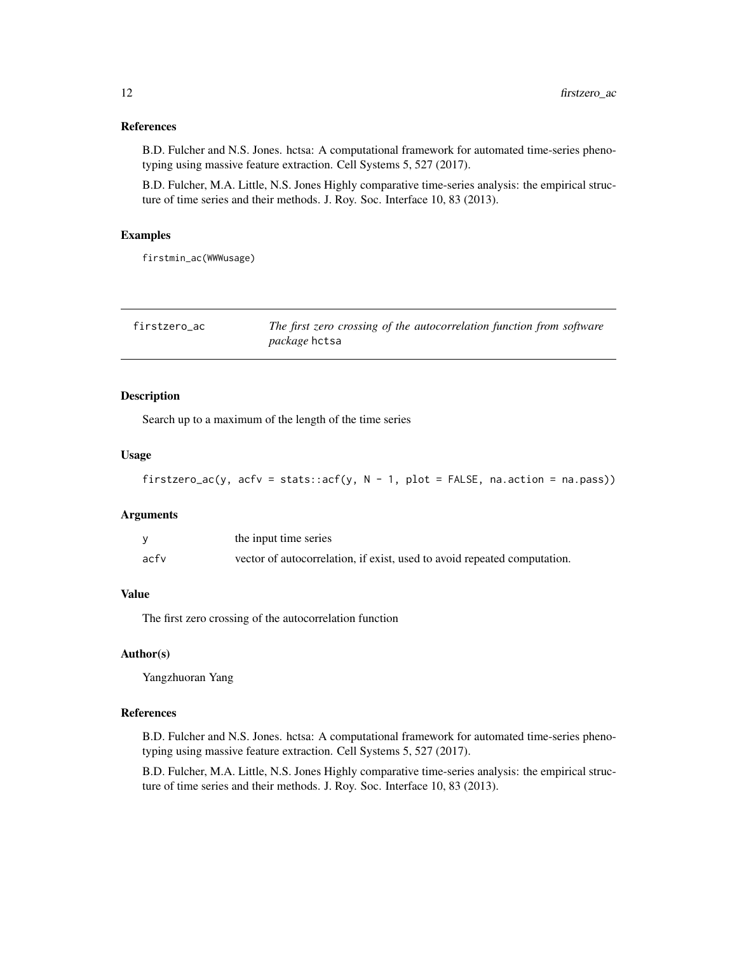#### <span id="page-11-0"></span>References

B.D. Fulcher and N.S. Jones. hctsa: A computational framework for automated time-series phenotyping using massive feature extraction. Cell Systems 5, 527 (2017).

B.D. Fulcher, M.A. Little, N.S. Jones Highly comparative time-series analysis: the empirical structure of time series and their methods. J. Roy. Soc. Interface 10, 83 (2013).

# Examples

firstmin\_ac(WWWusage)

| firstzero ac | The first zero crossing of the autocorrelation function from software |
|--------------|-----------------------------------------------------------------------|
|              | <i>package</i> hctsa                                                  |

# Description

Search up to a maximum of the length of the time series

# Usage

```
firstzero_ac(y, acfv = stats::acf(y, N - 1, plot = FALSE, na.action = na.pass))
```
#### Arguments

|      | the input time series                                                    |
|------|--------------------------------------------------------------------------|
| acfv | vector of autocorrelation, if exist, used to avoid repeated computation. |

# Value

The first zero crossing of the autocorrelation function

# Author(s)

Yangzhuoran Yang

#### References

B.D. Fulcher and N.S. Jones. hctsa: A computational framework for automated time-series phenotyping using massive feature extraction. Cell Systems 5, 527 (2017).

B.D. Fulcher, M.A. Little, N.S. Jones Highly comparative time-series analysis: the empirical structure of time series and their methods. J. Roy. Soc. Interface 10, 83 (2013).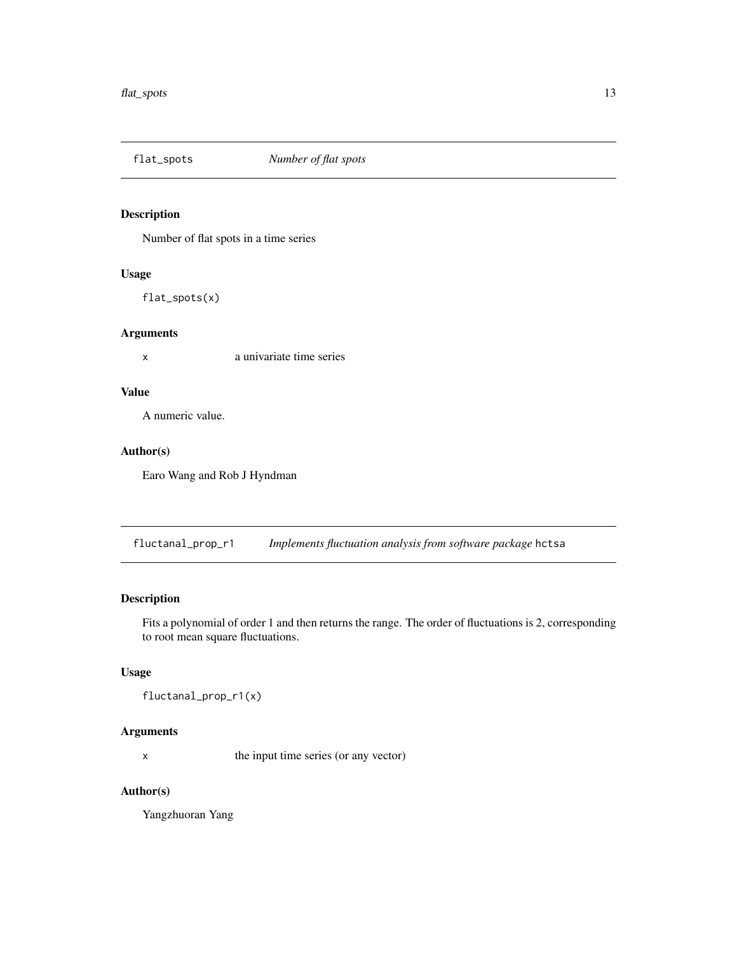<span id="page-12-0"></span>

Number of flat spots in a time series

# Usage

flat\_spots(x)

# Arguments

x a univariate time series

# Value

A numeric value.

# Author(s)

Earo Wang and Rob J Hyndman

<span id="page-12-1"></span>fluctanal\_prop\_r1 *Implements fluctuation analysis from software package* hctsa

# Description

Fits a polynomial of order 1 and then returns the range. The order of fluctuations is 2, corresponding to root mean square fluctuations.

# Usage

fluctanal\_prop\_r1(x)

# Arguments

x the input time series (or any vector)

# Author(s)

Yangzhuoran Yang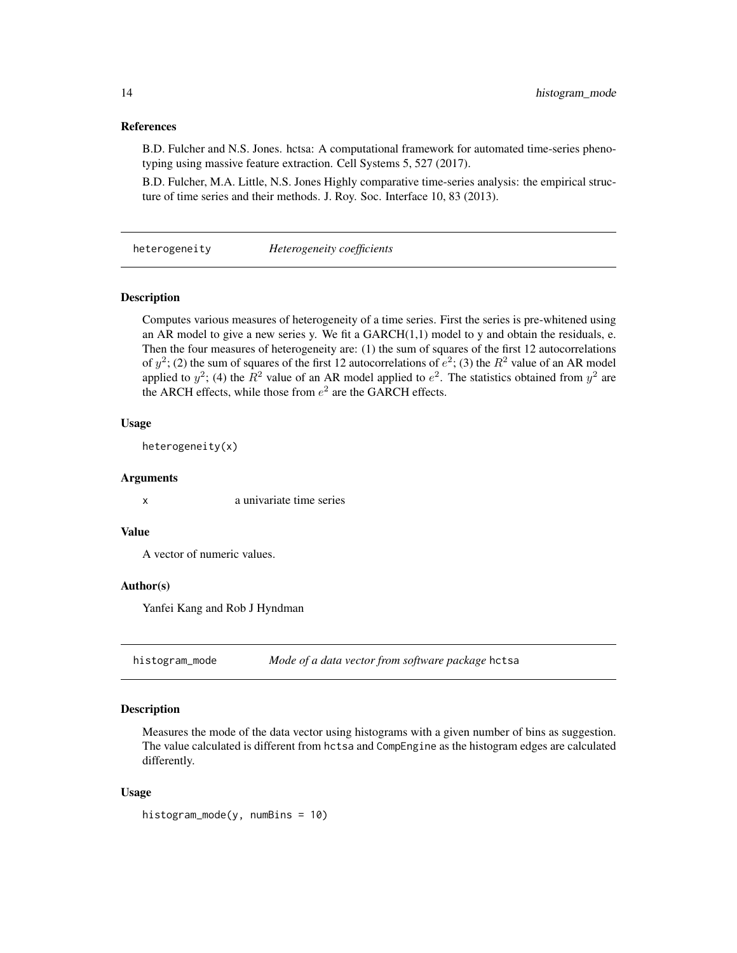# <span id="page-13-0"></span>References

B.D. Fulcher and N.S. Jones. hctsa: A computational framework for automated time-series phenotyping using massive feature extraction. Cell Systems 5, 527 (2017).

B.D. Fulcher, M.A. Little, N.S. Jones Highly comparative time-series analysis: the empirical structure of time series and their methods. J. Roy. Soc. Interface 10, 83 (2013).

heterogeneity *Heterogeneity coefficients*

#### Description

Computes various measures of heterogeneity of a time series. First the series is pre-whitened using an AR model to give a new series y. We fit a  $GARCH(1,1)$  model to y and obtain the residuals, e. Then the four measures of heterogeneity are: (1) the sum of squares of the first 12 autocorrelations of  $y^2$ ; (2) the sum of squares of the first 12 autocorrelations of  $e^2$ ; (3) the  $R^2$  value of an AR model applied to  $y^2$ ; (4) the  $R^2$  value of an AR model applied to  $e^2$ . The statistics obtained from  $y^2$  are the ARCH effects, while those from  $e^2$  are the GARCH effects.

#### Usage

```
heterogeneity(x)
```
#### Arguments

x a univariate time series

#### Value

A vector of numeric values.

#### Author(s)

Yanfei Kang and Rob J Hyndman

<span id="page-13-1"></span>histogram\_mode *Mode of a data vector from software package* hctsa

#### Description

Measures the mode of the data vector using histograms with a given number of bins as suggestion. The value calculated is different from hctsa and CompEngine as the histogram edges are calculated differently.

#### Usage

histogram\_mode(y, numBins = 10)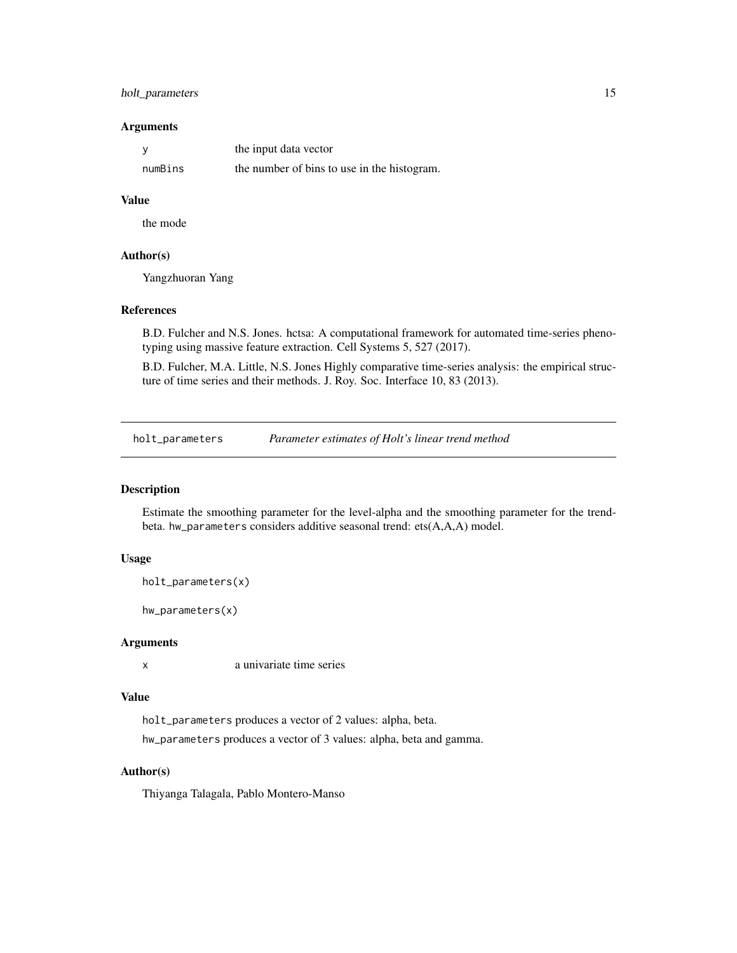# <span id="page-14-0"></span>holt\_parameters 15

#### **Arguments**

|         | the input data vector                       |
|---------|---------------------------------------------|
| numBins | the number of bins to use in the histogram. |

# Value

the mode

#### Author(s)

Yangzhuoran Yang

# References

B.D. Fulcher and N.S. Jones. hctsa: A computational framework for automated time-series phenotyping using massive feature extraction. Cell Systems 5, 527 (2017).

B.D. Fulcher, M.A. Little, N.S. Jones Highly comparative time-series analysis: the empirical structure of time series and their methods. J. Roy. Soc. Interface 10, 83 (2013).

holt\_parameters *Parameter estimates of Holt's linear trend method*

# Description

Estimate the smoothing parameter for the level-alpha and the smoothing parameter for the trendbeta. hw\_parameters considers additive seasonal trend: ets(A,A,A) model.

#### Usage

```
holt_parameters(x)
```
hw\_parameters(x)

# Arguments

x a univariate time series

# Value

holt\_parameters produces a vector of 2 values: alpha, beta.

hw\_parameters produces a vector of 3 values: alpha, beta and gamma.

# Author(s)

Thiyanga Talagala, Pablo Montero-Manso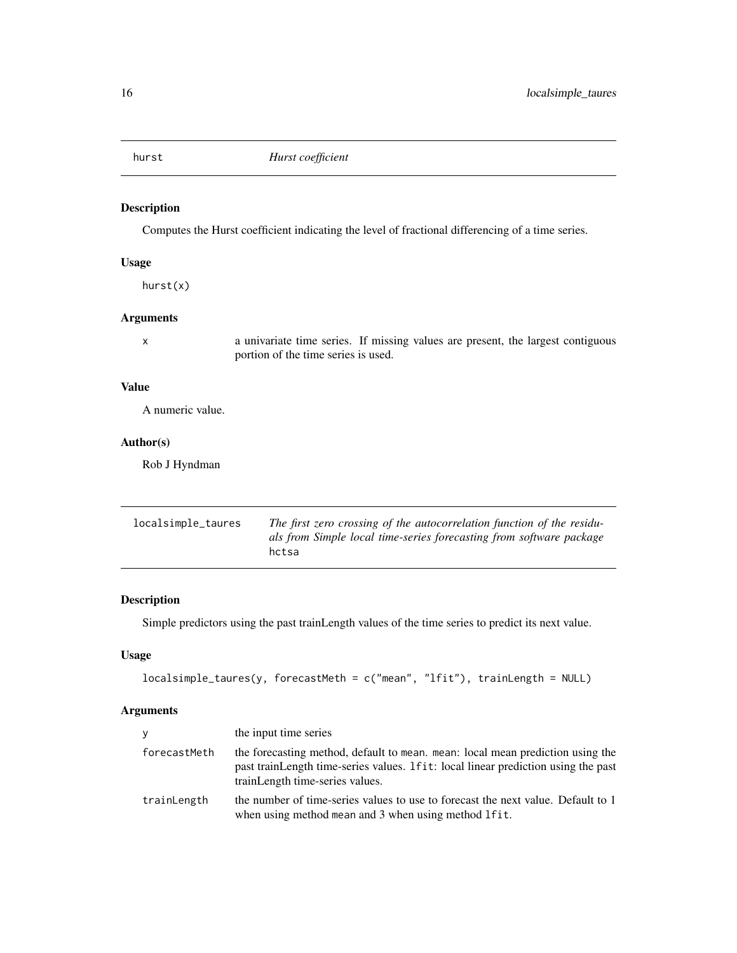<span id="page-15-0"></span>

Computes the Hurst coefficient indicating the level of fractional differencing of a time series.

# Usage

hurst(x)

# Arguments

x a univariate time series. If missing values are present, the largest contiguous portion of the time series is used.

# Value

A numeric value.

# Author(s)

Rob J Hyndman

<span id="page-15-1"></span>

| localsimple_taures | The first zero crossing of the autocorrelation function of the residu- |
|--------------------|------------------------------------------------------------------------|
|                    | als from Simple local time-series forecasting from software package    |
|                    | hctsa                                                                  |

# Description

Simple predictors using the past trainLength values of the time series to predict its next value.

# Usage

```
localsimple_taures(y, forecastMeth = c("mean", "lfit"), trainLength = NULL)
```
# Arguments

| V            | the input time series                                                                                                                                                                                   |
|--------------|---------------------------------------------------------------------------------------------------------------------------------------------------------------------------------------------------------|
| forecastMeth | the forecasting method, default to mean, mean: local mean prediction using the<br>past trainLength time-series values. If it: local linear prediction using the past<br>trainLength time-series values. |
| trainLength  | the number of time-series values to use to forecast the next value. Default to 1<br>when using method mean and 3 when using method lfit.                                                                |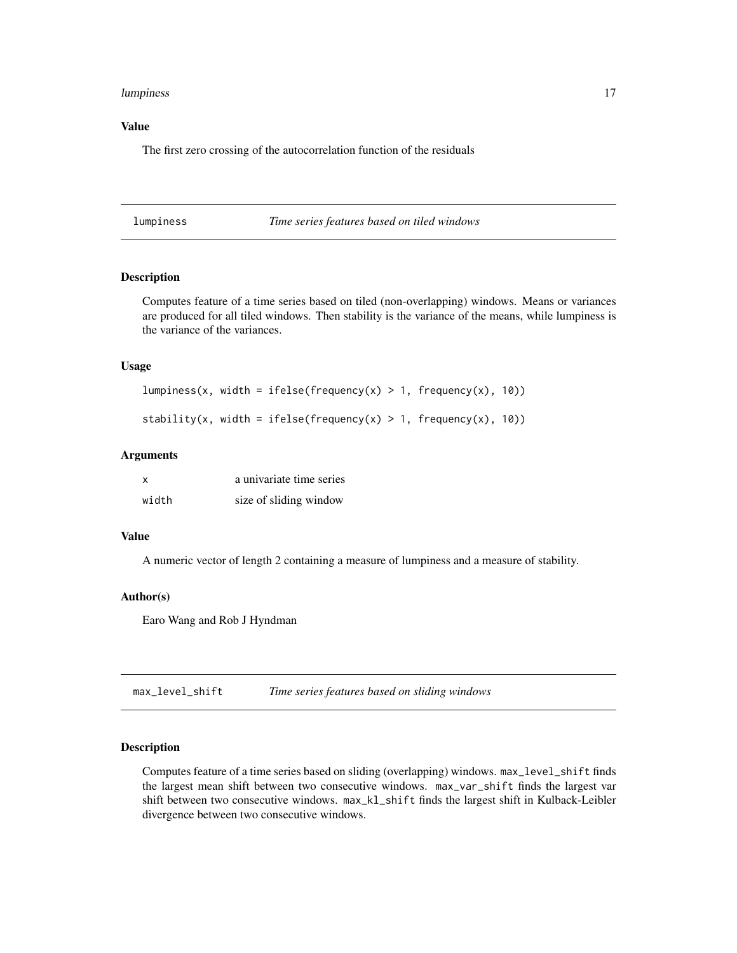#### <span id="page-16-0"></span>lumpiness and the contract of the contract of the contract of the contract of the contract of the contract of the contract of the contract of the contract of the contract of the contract of the contract of the contract of

# Value

The first zero crossing of the autocorrelation function of the residuals

lumpiness *Time series features based on tiled windows*

# Description

Computes feature of a time series based on tiled (non-overlapping) windows. Means or variances are produced for all tiled windows. Then stability is the variance of the means, while lumpiness is the variance of the variances.

# Usage

```
lumpiness(x, width = ifelse(frequency(x) > 1, frequency(x), 10))
```

```
stability(x, width = ifelse(frequency(x) > 1, frequency(x), 10))
```
# Arguments

| x     | a univariate time series |
|-------|--------------------------|
| width | size of sliding window   |

#### Value

A numeric vector of length 2 containing a measure of lumpiness and a measure of stability.

#### Author(s)

Earo Wang and Rob J Hyndman

max\_level\_shift *Time series features based on sliding windows*

# Description

Computes feature of a time series based on sliding (overlapping) windows. max\_level\_shift finds the largest mean shift between two consecutive windows. max\_var\_shift finds the largest var shift between two consecutive windows. max\_kl\_shift finds the largest shift in Kulback-Leibler divergence between two consecutive windows.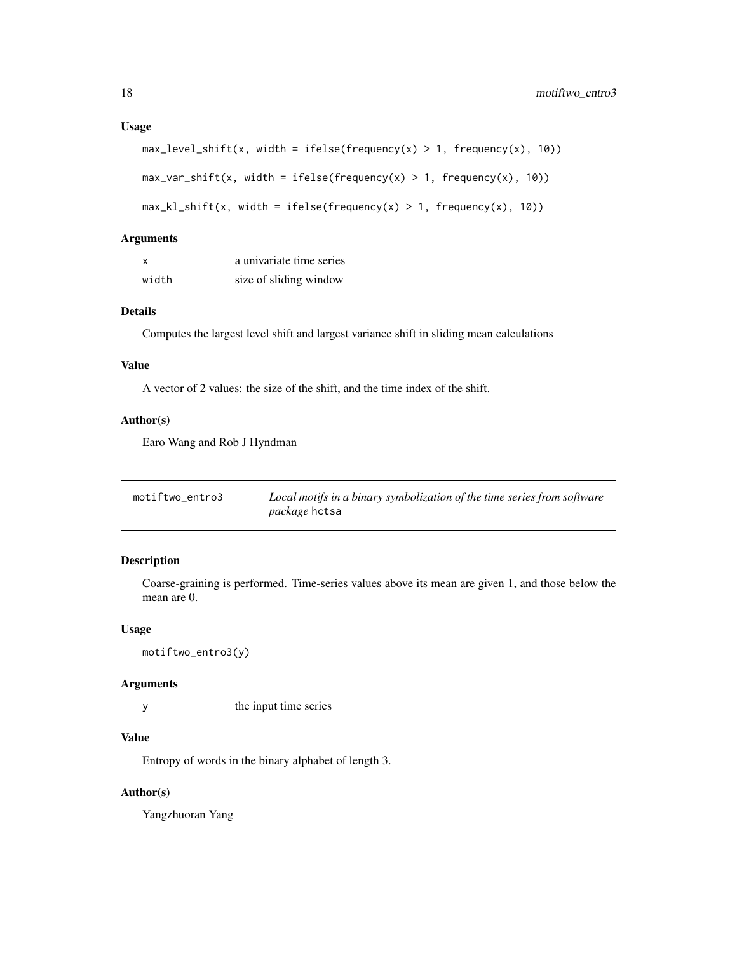```
max\_level\_shift(x, width = ifelse(frequency(x) > 1, frequency(x), 10))
```

```
max\_var\_shift(x, width = ifelse(frequency(x) > 1, frequency(x), 10))
```

```
max_k1_{shift}(x, width = ifelse(frequency(x) > 1, frequency(x), 10))
```
# Arguments

| x     | a univariate time series |
|-------|--------------------------|
| width | size of sliding window   |

# Details

Computes the largest level shift and largest variance shift in sliding mean calculations

# Value

A vector of 2 values: the size of the shift, and the time index of the shift.

# Author(s)

Earo Wang and Rob J Hyndman

<span id="page-17-1"></span>

| motiftwo_entro3 | Local motifs in a binary symbolization of the time series from software |
|-----------------|-------------------------------------------------------------------------|
|                 | <i>package</i> hctsa                                                    |

### Description

Coarse-graining is performed. Time-series values above its mean are given 1, and those below the mean are 0.

# Usage

```
motiftwo_entro3(y)
```
# Arguments

y the input time series

# Value

Entropy of words in the binary alphabet of length 3.

# Author(s)

Yangzhuoran Yang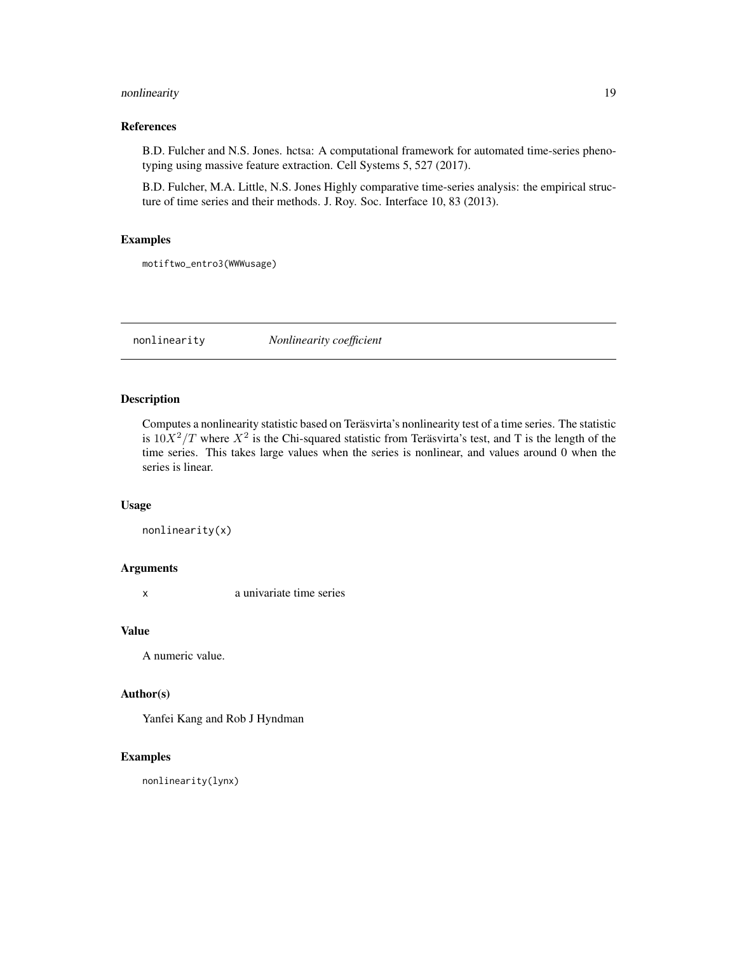# <span id="page-18-0"></span>nonlinearity and the state of the state of the state of the state of the state of the state of the state of the state of the state of the state of the state of the state of the state of the state of the state of the state

# References

B.D. Fulcher and N.S. Jones. hctsa: A computational framework for automated time-series phenotyping using massive feature extraction. Cell Systems 5, 527 (2017).

B.D. Fulcher, M.A. Little, N.S. Jones Highly comparative time-series analysis: the empirical structure of time series and their methods. J. Roy. Soc. Interface 10, 83 (2013).

# Examples

motiftwo\_entro3(WWWusage)

nonlinearity *Nonlinearity coefficient*

#### Description

Computes a nonlinearity statistic based on Teräsvirta's nonlinearity test of a time series. The statistic is  $10X^2/T$  where  $X^2$  is the Chi-squared statistic from Teräsvirta's test, and T is the length of the time series. This takes large values when the series is nonlinear, and values around 0 when the series is linear.

#### Usage

```
nonlinearity(x)
```
#### Arguments

x a univariate time series

#### Value

A numeric value.

# Author(s)

Yanfei Kang and Rob J Hyndman

# Examples

nonlinearity(lynx)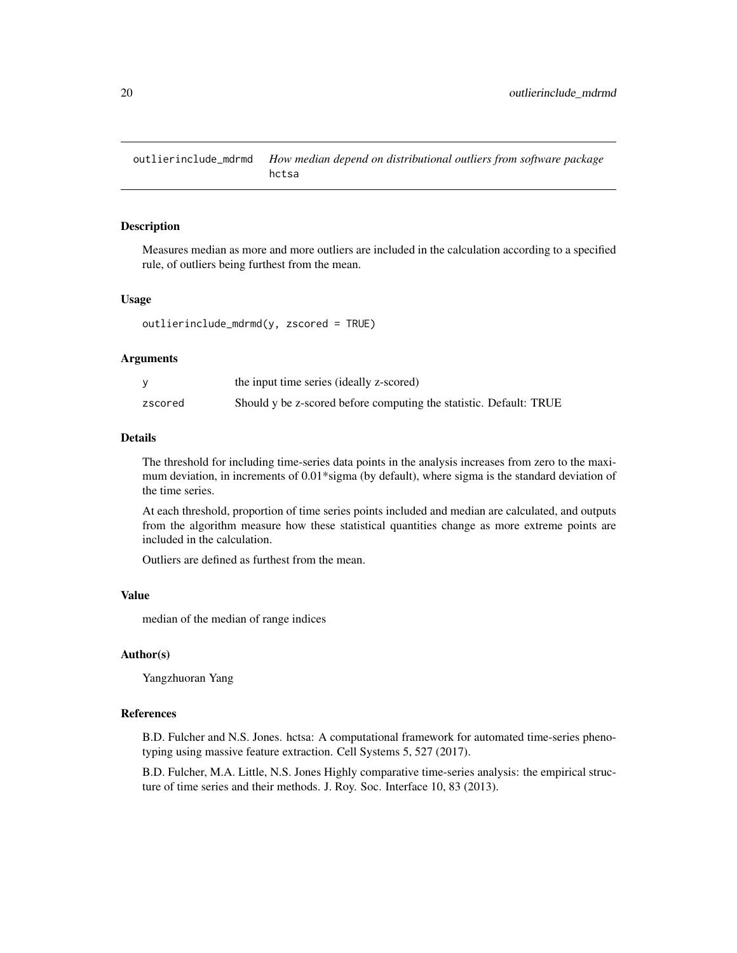<span id="page-19-1"></span><span id="page-19-0"></span>outlierinclude\_mdrmd *How median depend on distributional outliers from software package* hctsa

# Description

Measures median as more and more outliers are included in the calculation according to a specified rule, of outliers being furthest from the mean.

#### Usage

outlierinclude\_mdrmd(y, zscored = TRUE)

#### Arguments

|         | the input time series (ideally z-scored)                           |
|---------|--------------------------------------------------------------------|
| zscored | Should y be z-scored before computing the statistic. Default: TRUE |

# Details

The threshold for including time-series data points in the analysis increases from zero to the maximum deviation, in increments of 0.01\*sigma (by default), where sigma is the standard deviation of the time series.

At each threshold, proportion of time series points included and median are calculated, and outputs from the algorithm measure how these statistical quantities change as more extreme points are included in the calculation.

Outliers are defined as furthest from the mean.

#### Value

median of the median of range indices

# Author(s)

Yangzhuoran Yang

# References

B.D. Fulcher and N.S. Jones. hctsa: A computational framework for automated time-series phenotyping using massive feature extraction. Cell Systems 5, 527 (2017).

B.D. Fulcher, M.A. Little, N.S. Jones Highly comparative time-series analysis: the empirical structure of time series and their methods. J. Roy. Soc. Interface 10, 83 (2013).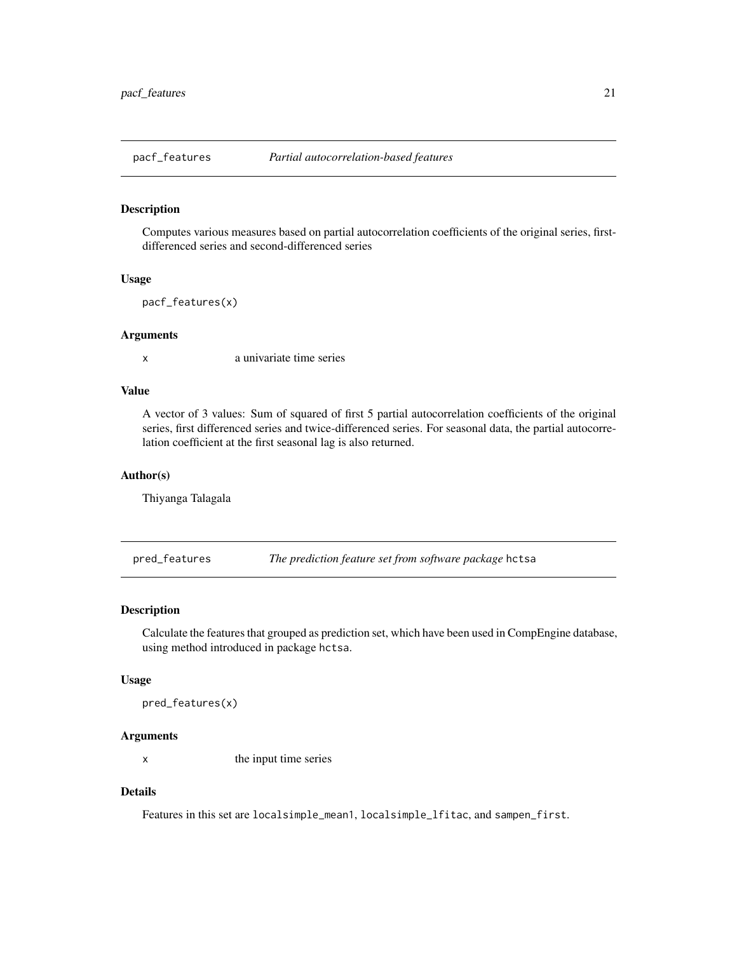<span id="page-20-0"></span>

Computes various measures based on partial autocorrelation coefficients of the original series, firstdifferenced series and second-differenced series

#### Usage

pacf\_features(x)

#### Arguments

x a univariate time series

# Value

A vector of 3 values: Sum of squared of first 5 partial autocorrelation coefficients of the original series, first differenced series and twice-differenced series. For seasonal data, the partial autocorrelation coefficient at the first seasonal lag is also returned.

# Author(s)

Thiyanga Talagala

<span id="page-20-1"></span>pred\_features *The prediction feature set from software package* hctsa

# Description

Calculate the features that grouped as prediction set, which have been used in CompEngine database, using method introduced in package hctsa.

#### Usage

pred\_features(x)

#### Arguments

x the input time series

# Details

Features in this set are localsimple\_mean1, localsimple\_lfitac, and sampen\_first.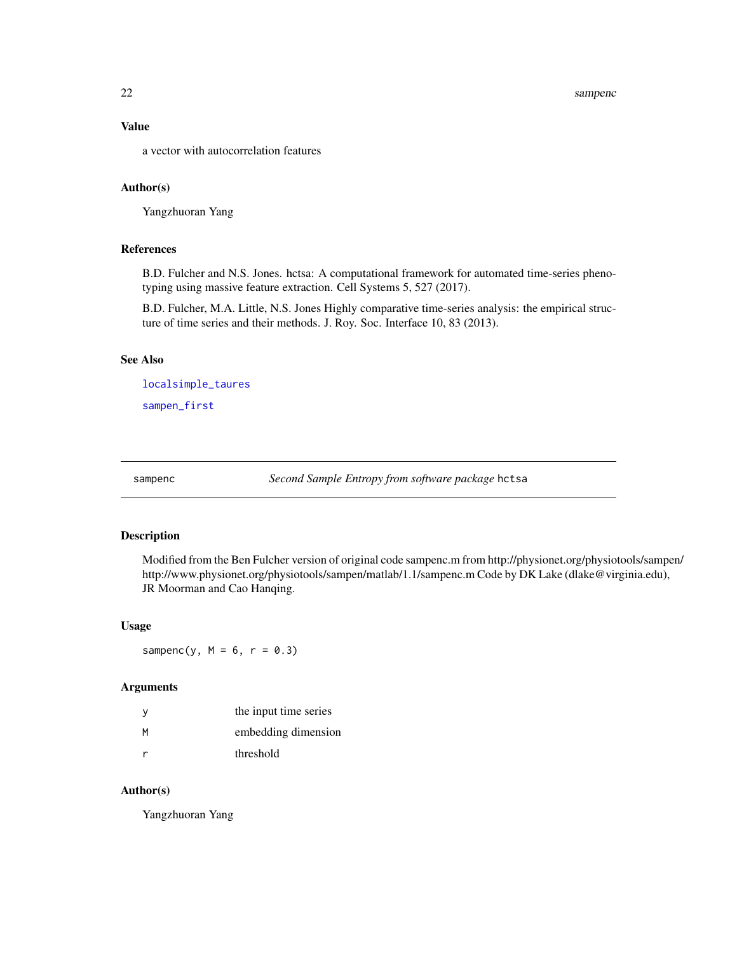# <span id="page-21-0"></span>Value

a vector with autocorrelation features

#### Author(s)

Yangzhuoran Yang

# References

B.D. Fulcher and N.S. Jones. hctsa: A computational framework for automated time-series phenotyping using massive feature extraction. Cell Systems 5, 527 (2017).

B.D. Fulcher, M.A. Little, N.S. Jones Highly comparative time-series analysis: the empirical structure of time series and their methods. J. Roy. Soc. Interface 10, 83 (2013).

#### See Also

[localsimple\\_taures](#page-15-1) [sampen\\_first](#page-22-1)

sampenc *Second Sample Entropy from software package* hctsa

# Description

Modified from the Ben Fulcher version of original code sampenc.m from http://physionet.org/physiotools/sampen/ http://www.physionet.org/physiotools/sampen/matlab/1.1/sampenc.m Code by DK Lake (dlake@virginia.edu), JR Moorman and Cao Hanqing.

#### Usage

sampenc(y,  $M = 6$ ,  $r = 0.3$ )

#### Arguments

| У | the input time series |
|---|-----------------------|
| М | embedding dimension   |
| r | threshold             |

#### Author(s)

Yangzhuoran Yang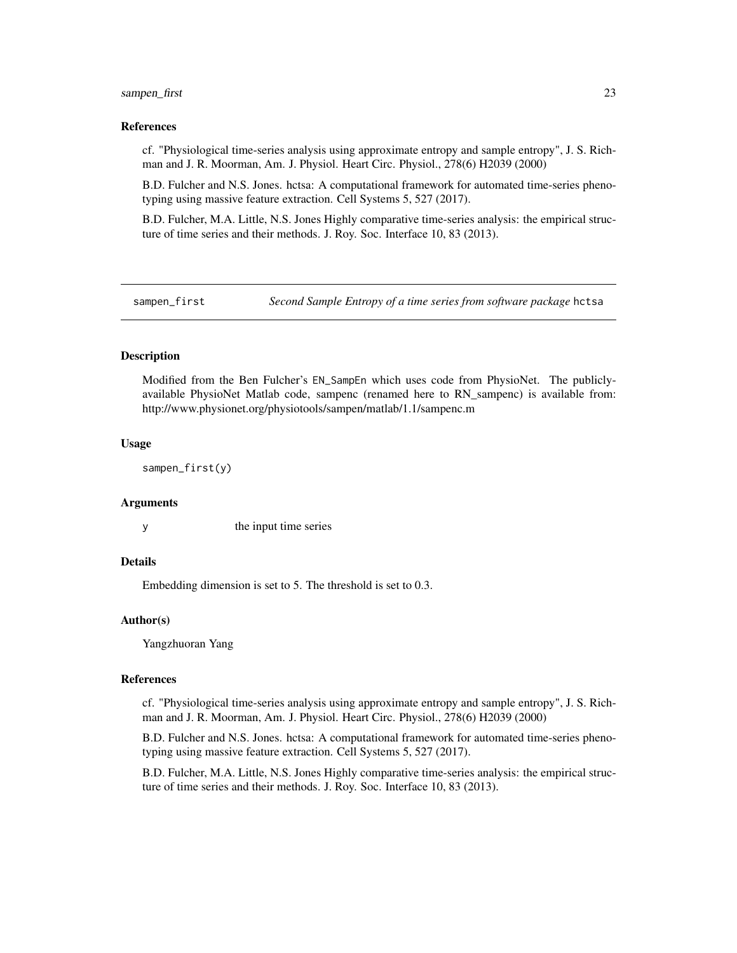#### <span id="page-22-0"></span>sampen\_first 23

#### References

cf. "Physiological time-series analysis using approximate entropy and sample entropy", J. S. Richman and J. R. Moorman, Am. J. Physiol. Heart Circ. Physiol., 278(6) H2039 (2000)

B.D. Fulcher and N.S. Jones. hctsa: A computational framework for automated time-series phenotyping using massive feature extraction. Cell Systems 5, 527 (2017).

B.D. Fulcher, M.A. Little, N.S. Jones Highly comparative time-series analysis: the empirical structure of time series and their methods. J. Roy. Soc. Interface 10, 83 (2013).

<span id="page-22-1"></span>

sampen\_first *Second Sample Entropy of a time series from software package* hctsa

# **Description**

Modified from the Ben Fulcher's EN\_SampEn which uses code from PhysioNet. The publiclyavailable PhysioNet Matlab code, sampenc (renamed here to RN\_sampenc) is available from: http://www.physionet.org/physiotools/sampen/matlab/1.1/sampenc.m

#### Usage

sampen\_first(y)

#### Arguments

y the input time series

## Details

Embedding dimension is set to 5. The threshold is set to 0.3.

#### Author(s)

Yangzhuoran Yang

#### References

cf. "Physiological time-series analysis using approximate entropy and sample entropy", J. S. Richman and J. R. Moorman, Am. J. Physiol. Heart Circ. Physiol., 278(6) H2039 (2000)

B.D. Fulcher and N.S. Jones. hctsa: A computational framework for automated time-series phenotyping using massive feature extraction. Cell Systems 5, 527 (2017).

B.D. Fulcher, M.A. Little, N.S. Jones Highly comparative time-series analysis: the empirical structure of time series and their methods. J. Roy. Soc. Interface 10, 83 (2013).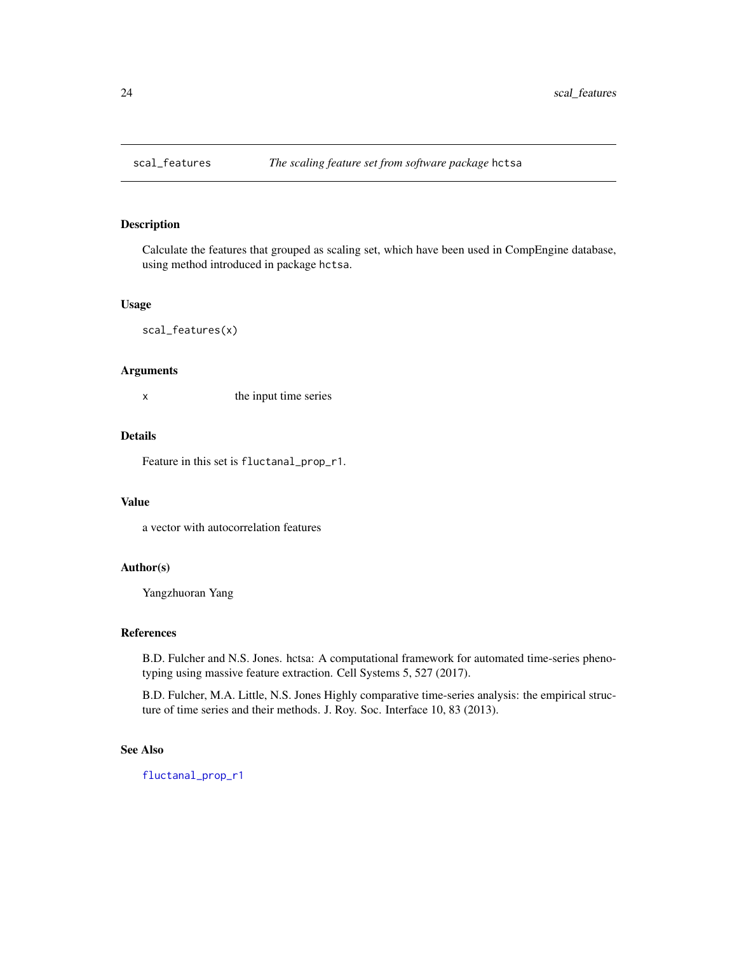<span id="page-23-1"></span><span id="page-23-0"></span>

Calculate the features that grouped as scaling set, which have been used in CompEngine database, using method introduced in package hctsa.

#### Usage

scal\_features(x)

#### Arguments

x the input time series

# Details

Feature in this set is fluctanal\_prop\_r1.

#### Value

a vector with autocorrelation features

#### Author(s)

Yangzhuoran Yang

#### References

B.D. Fulcher and N.S. Jones. hctsa: A computational framework for automated time-series phenotyping using massive feature extraction. Cell Systems 5, 527 (2017).

B.D. Fulcher, M.A. Little, N.S. Jones Highly comparative time-series analysis: the empirical structure of time series and their methods. J. Roy. Soc. Interface 10, 83 (2013).

#### See Also

[fluctanal\\_prop\\_r1](#page-12-1)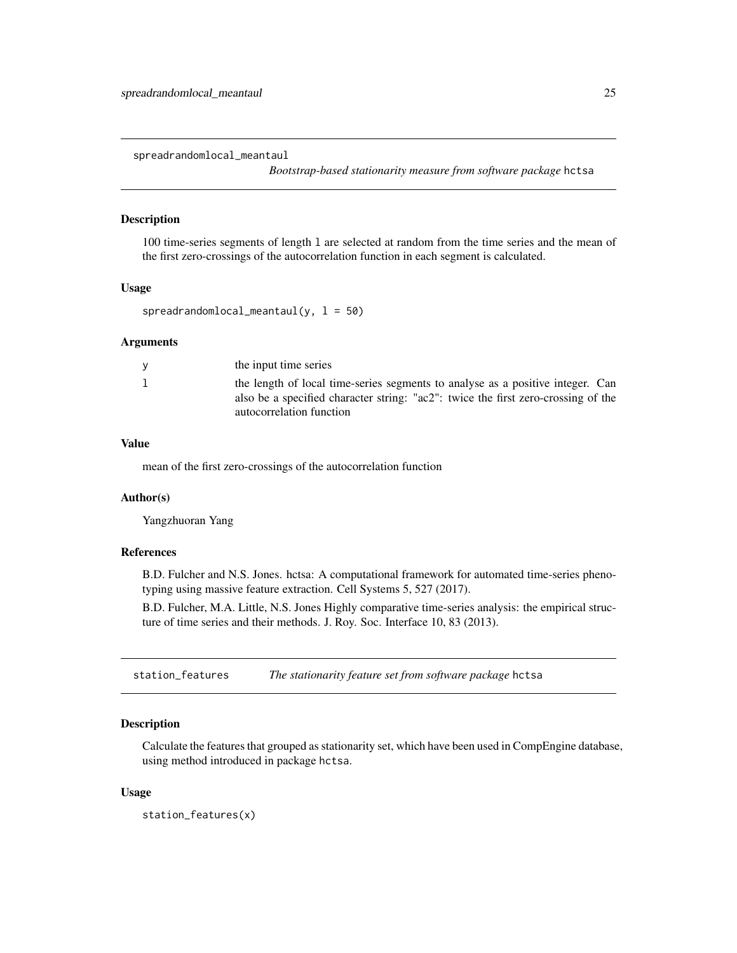<span id="page-24-2"></span><span id="page-24-0"></span>spreadrandomlocal\_meantaul

*Bootstrap-based stationarity measure from software package* hctsa

# Description

100 time-series segments of length l are selected at random from the time series and the mean of the first zero-crossings of the autocorrelation function in each segment is calculated.

#### Usage

```
spreadrandomlocal_meantaul(y, l = 50)
```
#### Arguments

| the input time series                                                                                                                                                                           |
|-------------------------------------------------------------------------------------------------------------------------------------------------------------------------------------------------|
| the length of local time-series segments to analyse as a positive integer. Can<br>also be a specified character string: "ac2": twice the first zero-crossing of the<br>autocorrelation function |
|                                                                                                                                                                                                 |

# Value

mean of the first zero-crossings of the autocorrelation function

#### Author(s)

Yangzhuoran Yang

#### References

B.D. Fulcher and N.S. Jones. hctsa: A computational framework for automated time-series phenotyping using massive feature extraction. Cell Systems 5, 527 (2017).

B.D. Fulcher, M.A. Little, N.S. Jones Highly comparative time-series analysis: the empirical structure of time series and their methods. J. Roy. Soc. Interface 10, 83 (2013).

<span id="page-24-1"></span>station\_features *The stationarity feature set from software package* hctsa

#### **Description**

Calculate the features that grouped as stationarity set, which have been used in CompEngine database, using method introduced in package hctsa.

#### Usage

station\_features(x)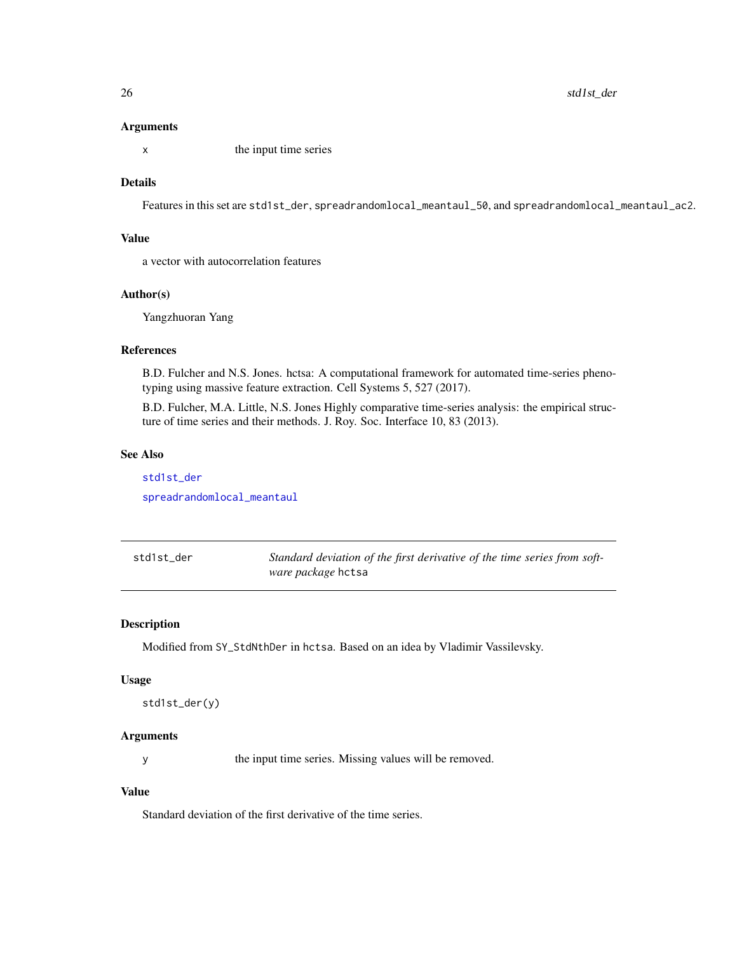#### <span id="page-25-0"></span>Arguments

x the input time series

# **Details**

Features in this set are std1st\_der, spreadrandomlocal\_meantaul\_50, and spreadrandomlocal\_meantaul\_ac2.

# Value

a vector with autocorrelation features

# Author(s)

Yangzhuoran Yang

# References

B.D. Fulcher and N.S. Jones. hctsa: A computational framework for automated time-series phenotyping using massive feature extraction. Cell Systems 5, 527 (2017).

B.D. Fulcher, M.A. Little, N.S. Jones Highly comparative time-series analysis: the empirical structure of time series and their methods. J. Roy. Soc. Interface 10, 83 (2013).

#### See Also

[std1st\\_der](#page-25-1) [spreadrandomlocal\\_meantaul](#page-24-2)

<span id="page-25-1"></span>std1st\_der *Standard deviation of the first derivative of the time series from software package* hctsa

# Description

Modified from SY\_StdNthDer in hctsa. Based on an idea by Vladimir Vassilevsky.

#### Usage

```
std1st_der(y)
```
# Arguments

y the input time series. Missing values will be removed.

# Value

Standard deviation of the first derivative of the time series.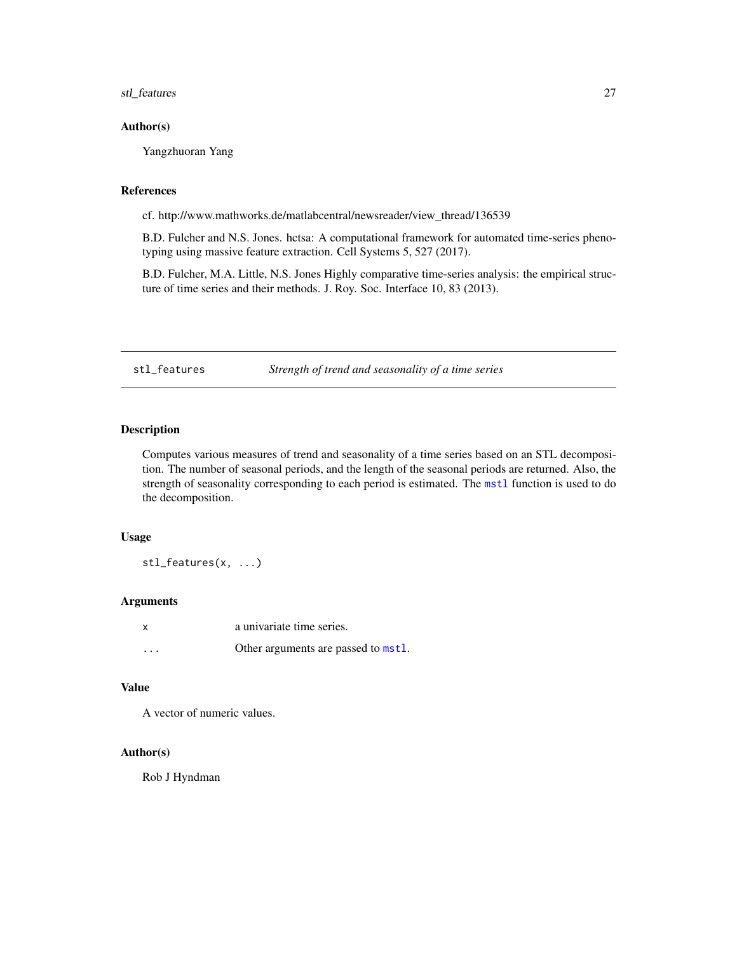<span id="page-26-0"></span>stl\_features 27

# Author(s)

Yangzhuoran Yang

# References

cf. http://www.mathworks.de/matlabcentral/newsreader/view\_thread/136539

B.D. Fulcher and N.S. Jones. hctsa: A computational framework for automated time-series phenotyping using massive feature extraction. Cell Systems 5, 527 (2017).

B.D. Fulcher, M.A. Little, N.S. Jones Highly comparative time-series analysis: the empirical structure of time series and their methods. J. Roy. Soc. Interface 10, 83 (2013).

stl\_features *Strength of trend and seasonality of a time series*

# Description

Computes various measures of trend and seasonality of a time series based on an STL decomposition. The number of seasonal periods, and the length of the seasonal periods are returned. Also, the strength of seasonality corresponding to each period is estimated. The [mstl](#page-0-0) function is used to do the decomposition.

# Usage

stl\_features(x, ...)

# Arguments

|                         | a univariate time series.           |
|-------------------------|-------------------------------------|
| $\cdot$ $\cdot$ $\cdot$ | Other arguments are passed to mstl. |

# Value

A vector of numeric values.

#### Author(s)

Rob J Hyndman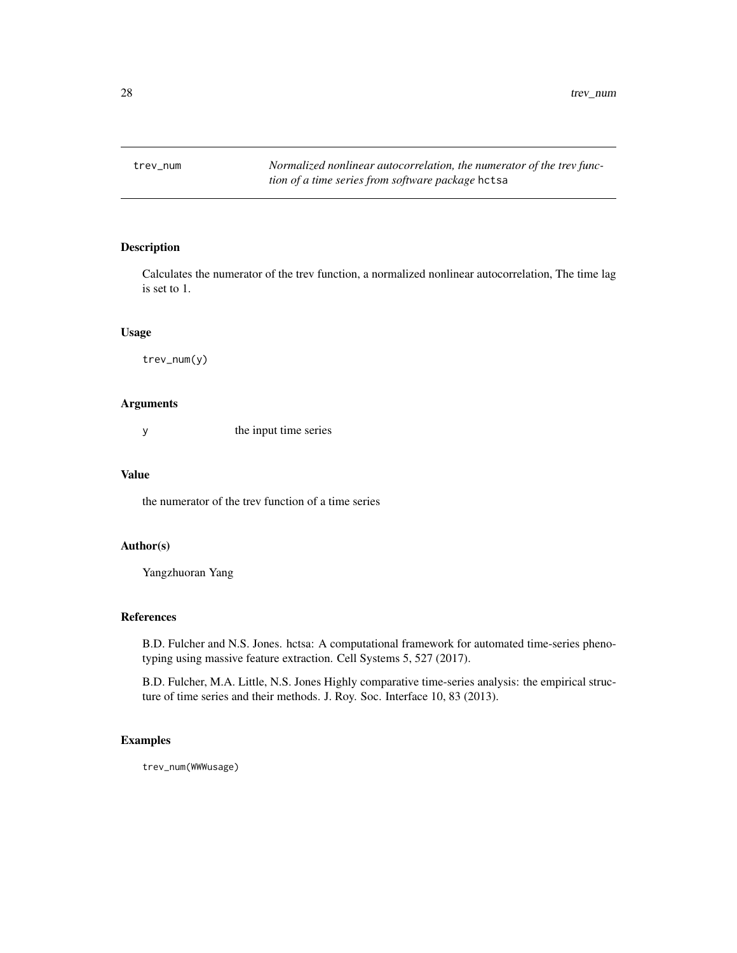<span id="page-27-1"></span><span id="page-27-0"></span>

Calculates the numerator of the trev function, a normalized nonlinear autocorrelation, The time lag is set to 1.

#### Usage

trev\_num(y)

# Arguments

y the input time series

#### Value

the numerator of the trev function of a time series

#### Author(s)

Yangzhuoran Yang

#### References

B.D. Fulcher and N.S. Jones. hctsa: A computational framework for automated time-series phenotyping using massive feature extraction. Cell Systems 5, 527 (2017).

B.D. Fulcher, M.A. Little, N.S. Jones Highly comparative time-series analysis: the empirical structure of time series and their methods. J. Roy. Soc. Interface 10, 83 (2013).

# Examples

trev\_num(WWWusage)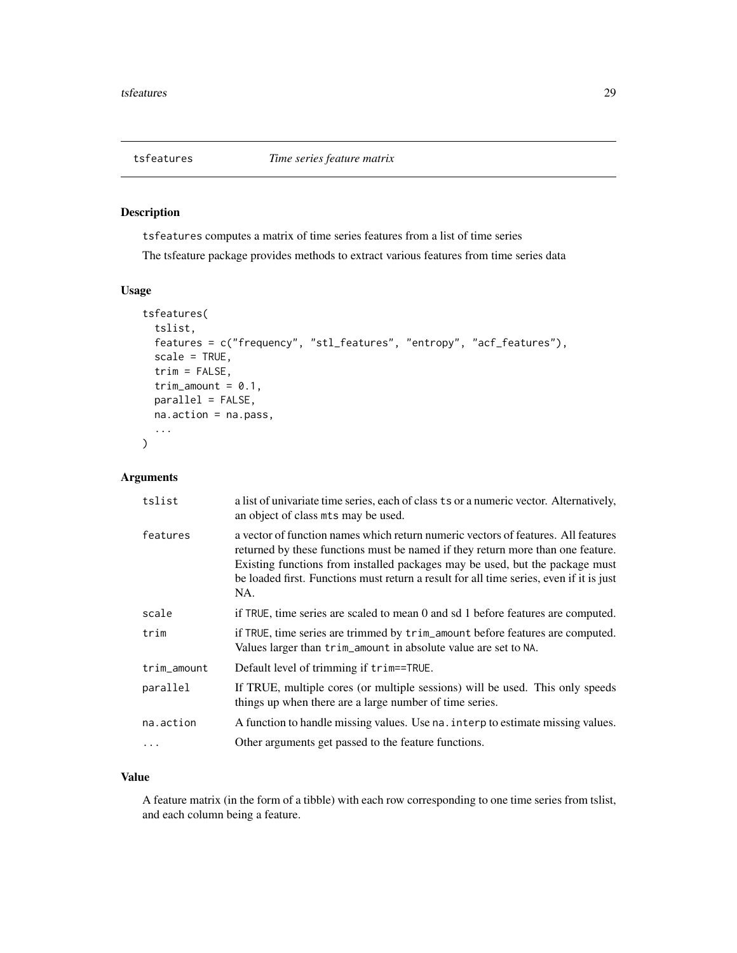<span id="page-28-0"></span>

tsfeatures computes a matrix of time series features from a list of time series

The tsfeature package provides methods to extract various features from time series data

# Usage

```
tsfeatures(
  tslist,
  features = c("frequency", "stl_features", "entropy", "acf_features"),
  scale = TRUE,
  trim = FALSE,
  trim_amount = 0.1,
  parallel = FALSE,
 na.action = na.pass,
  ...
)
```
# Arguments

| tslist      | a list of univariate time series, each of class ts or a numeric vector. Alternatively,<br>an object of class mts may be used.                                                                                                                                                                                                                          |
|-------------|--------------------------------------------------------------------------------------------------------------------------------------------------------------------------------------------------------------------------------------------------------------------------------------------------------------------------------------------------------|
| features    | a vector of function names which return numeric vectors of features. All features<br>returned by these functions must be named if they return more than one feature.<br>Existing functions from installed packages may be used, but the package must<br>be loaded first. Functions must return a result for all time series, even if it is just<br>NA. |
| scale       | if TRUE, time series are scaled to mean 0 and sd 1 before features are computed.                                                                                                                                                                                                                                                                       |
| trim        | if TRUE, time series are trimmed by trim_amount before features are computed.<br>Values larger than trim_amount in absolute value are set to NA.                                                                                                                                                                                                       |
| trim_amount | Default level of trimming if trim==TRUE.                                                                                                                                                                                                                                                                                                               |
| parallel    | If TRUE, multiple cores (or multiple sessions) will be used. This only speeds<br>things up when there are a large number of time series.                                                                                                                                                                                                               |
| na.action   | A function to handle missing values. Use na. interp to estimate missing values.                                                                                                                                                                                                                                                                        |
|             | Other arguments get passed to the feature functions.                                                                                                                                                                                                                                                                                                   |
|             |                                                                                                                                                                                                                                                                                                                                                        |

# Value

A feature matrix (in the form of a tibble) with each row corresponding to one time series from tslist, and each column being a feature.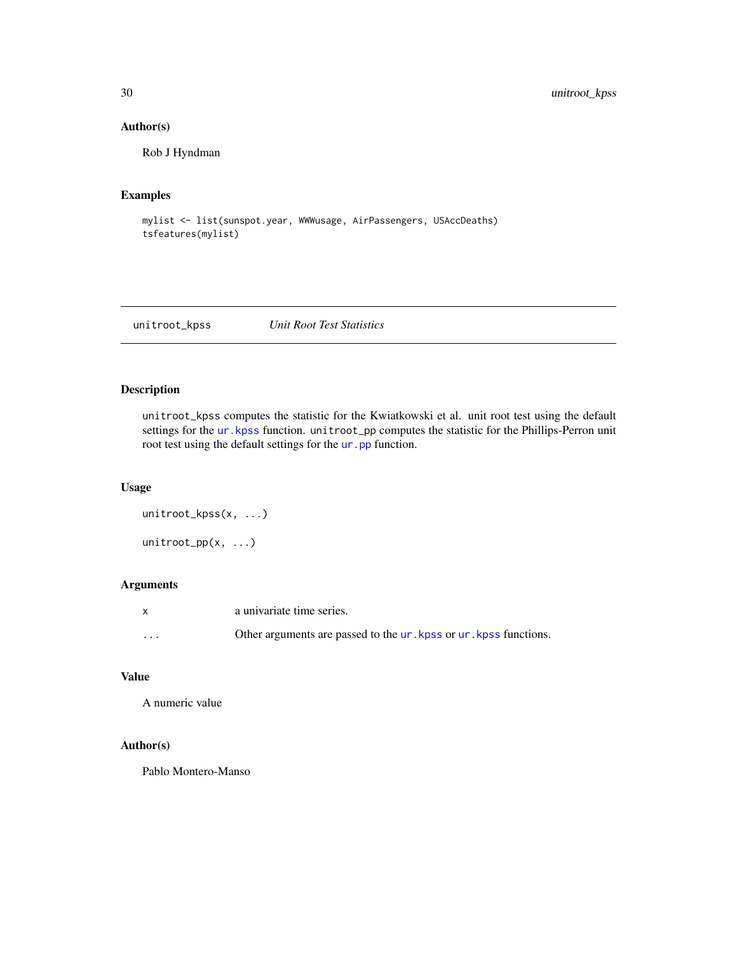# Author(s)

Rob J Hyndman

# Examples

```
mylist <- list(sunspot.year, WWWusage, AirPassengers, USAccDeaths)
tsfeatures(mylist)
```
unitroot\_kpss *Unit Root Test Statistics*

# Description

unitroot\_kpss computes the statistic for the Kwiatkowski et al. unit root test using the default settings for the ur. kpss function. unitroot\_pp computes the statistic for the Phillips-Perron unit root test using the default settings for the [ur.pp](#page-0-0) function.

#### Usage

```
unitroot_kpss(x, ...)
unitroot_pp(x, ...)
```
# Arguments

|   | a univariate time series.                                                         |
|---|-----------------------------------------------------------------------------------|
| . | Other arguments are passed to the <i>ur</i> . kpss or <i>ur</i> . kpss functions. |

# Value

A numeric value

#### Author(s)

Pablo Montero-Manso

<span id="page-29-0"></span>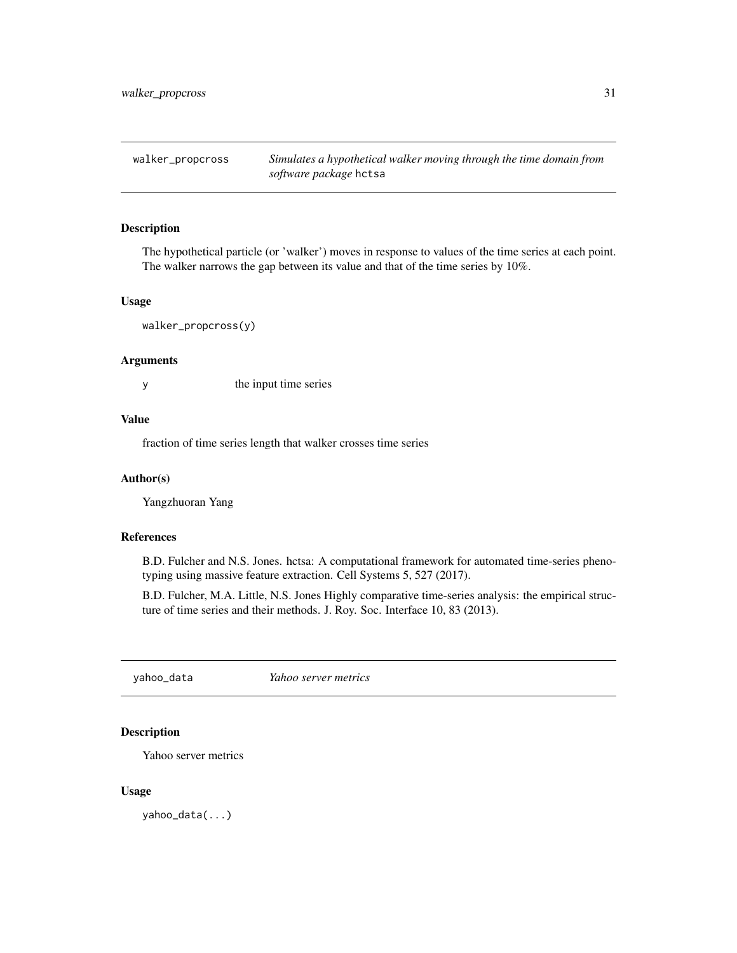<span id="page-30-1"></span><span id="page-30-0"></span>walker\_propcross *Simulates a hypothetical walker moving through the time domain from software package* hctsa

#### Description

The hypothetical particle (or 'walker') moves in response to values of the time series at each point. The walker narrows the gap between its value and that of the time series by 10%.

#### Usage

walker\_propcross(y)

#### Arguments

y the input time series

#### Value

fraction of time series length that walker crosses time series

# Author(s)

Yangzhuoran Yang

# References

B.D. Fulcher and N.S. Jones. hctsa: A computational framework for automated time-series phenotyping using massive feature extraction. Cell Systems 5, 527 (2017).

B.D. Fulcher, M.A. Little, N.S. Jones Highly comparative time-series analysis: the empirical structure of time series and their methods. J. Roy. Soc. Interface 10, 83 (2013).

yahoo\_data *Yahoo server metrics*

# Description

Yahoo server metrics

#### Usage

yahoo\_data(...)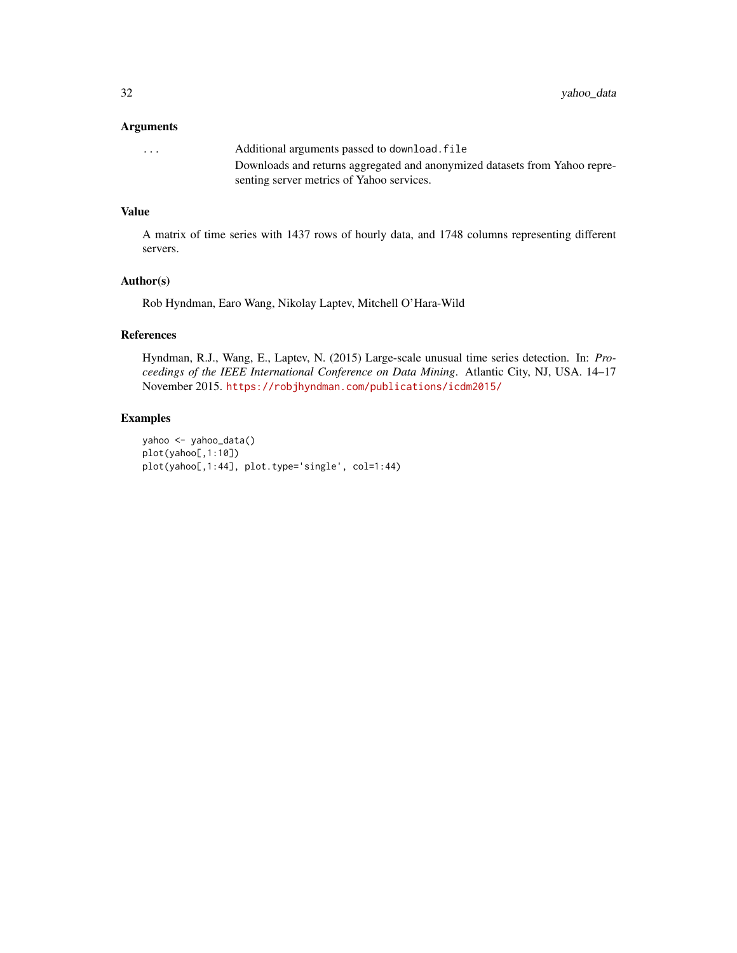# Arguments

| $\cdots$ | Additional arguments passed to download. file                              |
|----------|----------------------------------------------------------------------------|
|          | Downloads and returns aggregated and anonymized datasets from Yahoo repre- |
|          | senting server metrics of Yahoo services.                                  |

# Value

A matrix of time series with 1437 rows of hourly data, and 1748 columns representing different servers.

# Author(s)

Rob Hyndman, Earo Wang, Nikolay Laptev, Mitchell O'Hara-Wild

# References

Hyndman, R.J., Wang, E., Laptev, N. (2015) Large-scale unusual time series detection. In: *Proceedings of the IEEE International Conference on Data Mining*. Atlantic City, NJ, USA. 14–17 November 2015. <https://robjhyndman.com/publications/icdm2015/>

# Examples

```
yahoo <- yahoo_data()
plot(yahoo[,1:10])
plot(yahoo[,1:44], plot.type='single', col=1:44)
```